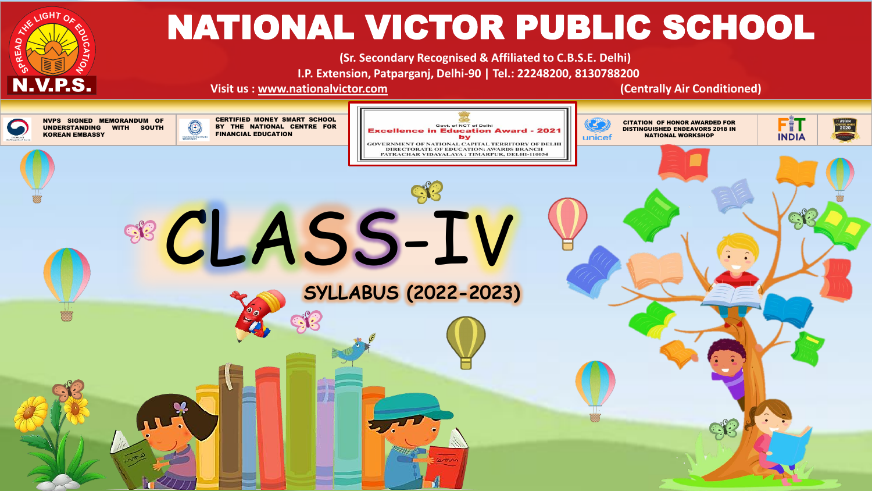

# NATIONAL VICTOR PUBLIC SCHOOL

**(Sr. Secondary Recognised & Affiliated to C.B.S.E. Delhi) I.P. Extension, Patparganj, Delhi-90 | Tel.: 22248200, 8130788200**

**Visit us : [www.nationalvictor.com](http://www.nationalvictor.com/) (Centrally Air Conditioned)**

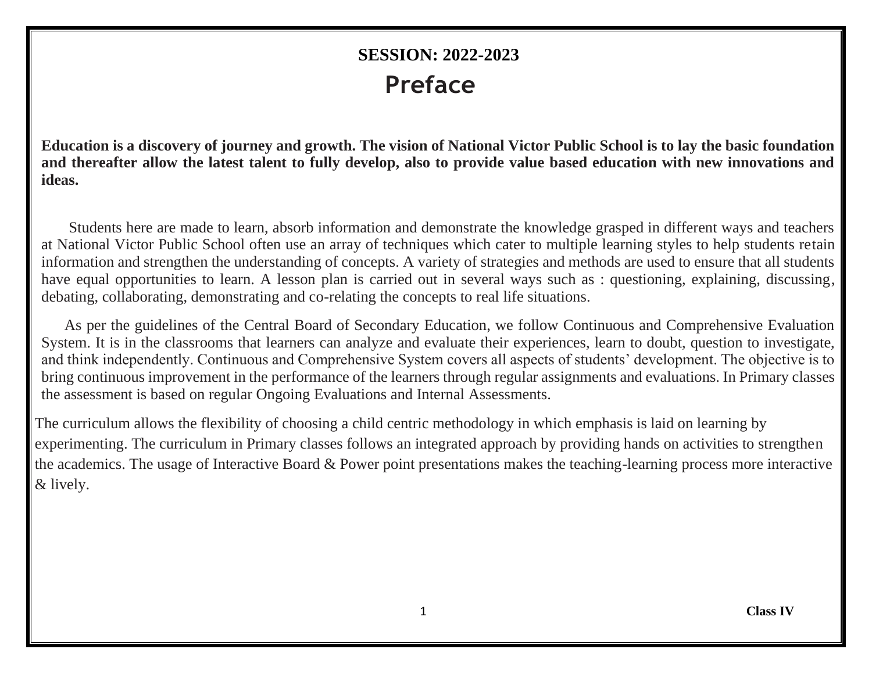# **SESSION: 2022-2023 Preface**

**Education is a discovery of journey and growth. The vision of National Victor Public School is to lay the basic foundation and thereafter allow the latest talent to fully develop, also to provide value based education with new innovations and ideas.**

Students here are made to learn, absorb information and demonstrate the knowledge grasped in different ways and teachers at National Victor Public School often use an array of techniques which cater to multiple learning styles to help students retain information and strengthen the understanding of concepts. A variety of strategies and methods are used to ensure that all students have equal opportunities to learn. A lesson plan is carried out in several ways such as : questioning, explaining, discussing, debating, collaborating, demonstrating and co-relating the concepts to real life situations.

As per the guidelines of the Central Board of Secondary Education, we follow Continuous and Comprehensive Evaluation System. It is in the classrooms that learners can analyze and evaluate their experiences, learn to doubt, question to investigate, and think independently. Continuous and Comprehensive System covers all aspects of students' development. The objective is to bring continuous improvement in the performance of the learners through regular assignments and evaluations. In Primary classes the assessment is based on regular Ongoing Evaluations and Internal Assessments.

The curriculum allows the flexibility of choosing a child centric methodology in which emphasis is laid on learning by experimenting. The curriculum in Primary classes follows an integrated approach by providing hands on activities to strengthen the academics. The usage of Interactive Board & Power point presentations makes the teaching-learning process more interactive & lively.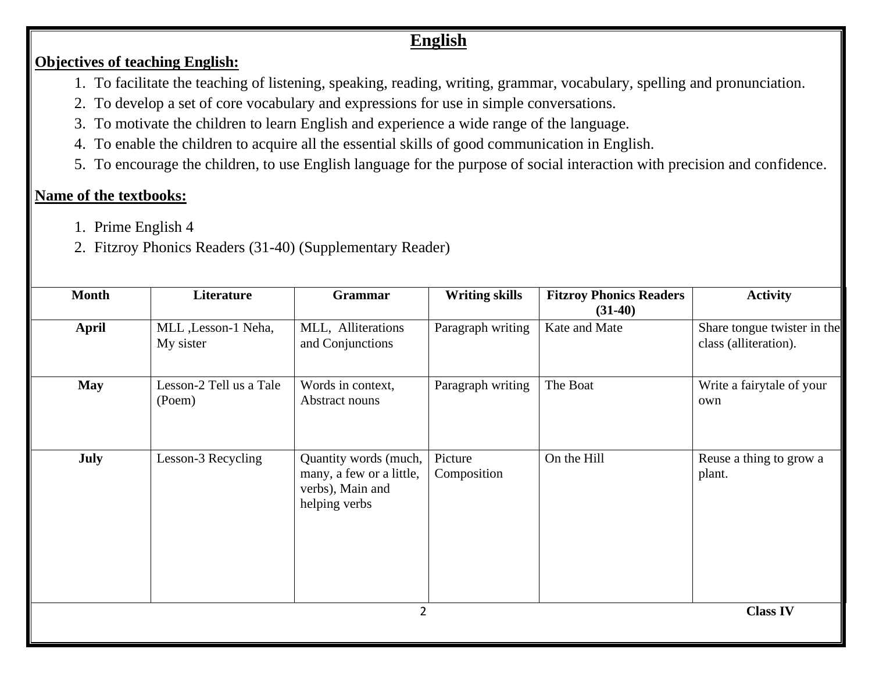# **English**

#### **Objectives of teaching English:**

- 1. To facilitate the teaching of listening, speaking, reading, writing, grammar, vocabulary, spelling and pronunciation.
- 2. To develop a set of core vocabulary and expressions for use in simple conversations.
- 3. To motivate the children to learn English and experience a wide range of the language.
- 4. To enable the children to acquire all the essential skills of good communication in English.
- 5. To encourage the children, to use English language for the purpose of social interaction with precision and confidence.

# **Name of the textbooks:**

- 1. Prime English 4
- 2. Fitzroy Phonics Readers (31-40) (Supplementary Reader)

| <b>Month</b> | Literature                        | <b>Grammar</b>                                                                         | <b>Writing skills</b>  | <b>Fitzroy Phonics Readers</b><br>$(31-40)$ | <b>Activity</b>                                      |
|--------------|-----------------------------------|----------------------------------------------------------------------------------------|------------------------|---------------------------------------------|------------------------------------------------------|
| <b>April</b> | MLL , Lesson-1 Neha,<br>My sister | MLL, Alliterations<br>and Conjunctions                                                 | Paragraph writing      | Kate and Mate                               | Share tongue twister in the<br>class (alliteration). |
| <b>May</b>   | Lesson-2 Tell us a Tale<br>(Poem) | Words in context,<br>Abstract nouns                                                    | Paragraph writing      | The Boat                                    | Write a fairytale of your<br>own                     |
| July         | Lesson-3 Recycling                | Quantity words (much,<br>many, a few or a little,<br>verbs), Main and<br>helping verbs | Picture<br>Composition | On the Hill                                 | Reuse a thing to grow a<br>plant.                    |
|              | <b>Class IV</b><br>$\overline{2}$ |                                                                                        |                        |                                             |                                                      |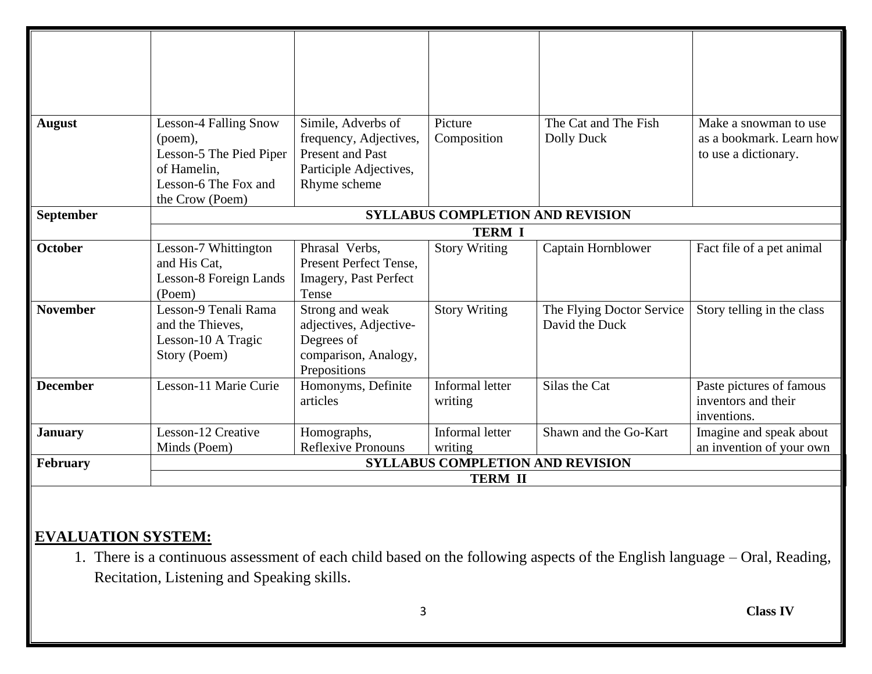| <b>August</b>   | <b>Lesson-4 Falling Snow</b><br>(poem),<br>Lesson-5 The Pied Piper<br>of Hamelin,<br>Lesson-6 The Fox and<br>the Crow (Poem) | Simile, Adverbs of<br>frequency, Adjectives,<br>Present and Past<br>Participle Adjectives,<br>Rhyme scheme | Picture<br>Composition                  | The Cat and The Fish<br>Dolly Duck          | Make a snowman to use<br>as a bookmark. Learn how<br>to use a dictionary. |  |
|-----------------|------------------------------------------------------------------------------------------------------------------------------|------------------------------------------------------------------------------------------------------------|-----------------------------------------|---------------------------------------------|---------------------------------------------------------------------------|--|
| September       |                                                                                                                              |                                                                                                            | <b>SYLLABUS COMPLETION AND REVISION</b> |                                             |                                                                           |  |
|                 |                                                                                                                              |                                                                                                            | <b>TERM I</b>                           |                                             |                                                                           |  |
| <b>October</b>  | Lesson-7 Whittington<br>and His Cat,<br>Lesson-8 Foreign Lands<br>(Poem)                                                     | Phrasal Verbs,<br>Present Perfect Tense,<br>Imagery, Past Perfect<br>Tense                                 | <b>Story Writing</b>                    | Captain Hornblower                          | Fact file of a pet animal                                                 |  |
| <b>November</b> | Lesson-9 Tenali Rama<br>and the Thieves,<br>Lesson-10 A Tragic<br>Story (Poem)                                               | Strong and weak<br>adjectives, Adjective-<br>Degrees of<br>comparison, Analogy,<br>Prepositions            | <b>Story Writing</b>                    | The Flying Doctor Service<br>David the Duck | Story telling in the class                                                |  |
| <b>December</b> | Lesson-11 Marie Curie                                                                                                        | Homonyms, Definite<br>articles                                                                             | Informal letter<br>writing              | Silas the Cat                               | Paste pictures of famous<br>inventors and their<br>inventions.            |  |
| <b>January</b>  | Lesson-12 Creative                                                                                                           | Homographs,                                                                                                | Informal letter                         | Shawn and the Go-Kart                       | Imagine and speak about                                                   |  |
|                 | Minds (Poem)                                                                                                                 | Reflexive Pronouns                                                                                         | writing                                 |                                             | an invention of your own                                                  |  |
| <b>February</b> |                                                                                                                              |                                                                                                            | <b>SYLLABUS COMPLETION AND REVISION</b> |                                             |                                                                           |  |
|                 | <b>TERM II</b>                                                                                                               |                                                                                                            |                                         |                                             |                                                                           |  |

# **EVALUATION SYSTEM:**

1. There is a continuous assessment of each child based on the following aspects of the English language – Oral, Reading, Recitation, Listening and Speaking skills.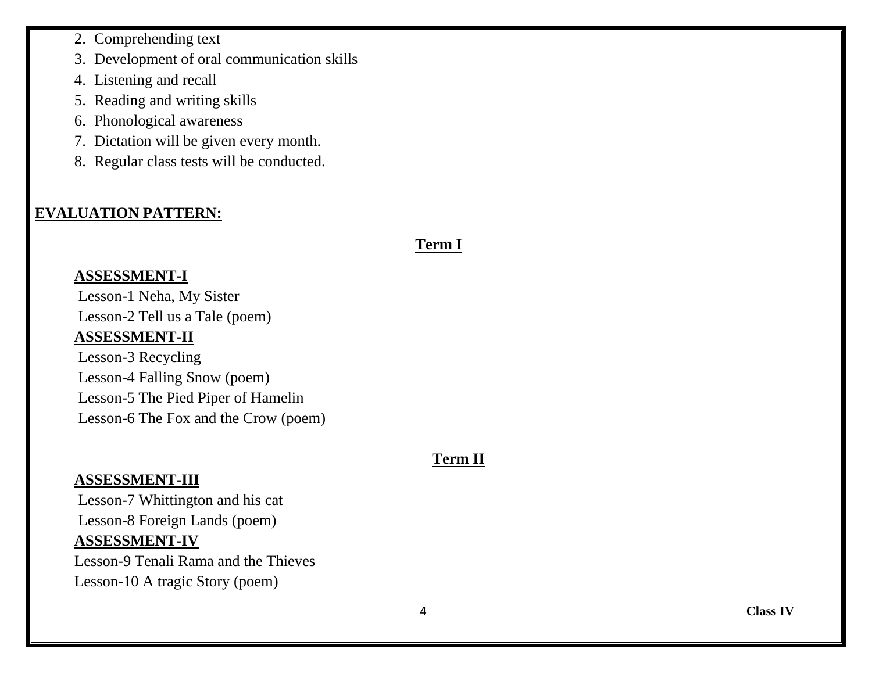2. Comprehending text

3. Development of oral communication skills

4. Listening and recall

5. Reading and writing skills

6. Phonological awareness

7. Dictation will be given every month.

8. Regular class tests will be conducted.

# **EVALUATION PATTERN:**

#### **Term I**

#### **ASSESSMENT-I**

Lesson-1 Neha, My Sister Lesson-2 Tell us a Tale (poem) **ASSESSMENT-II**

Lesson-3 Recycling Lesson-4 Falling Snow (poem) Lesson-5 The Pied Piper of Hamelin Lesson-6 The Fox and the Crow (poem)

# **Term II**

#### **ASSESSMENT-III**

Lesson-7 Whittington and his cat Lesson-8 Foreign Lands (poem) **ASSESSMENT-IV**

Lesson-9 Tenali Rama and the Thieves Lesson-10 A tragic Story (poem)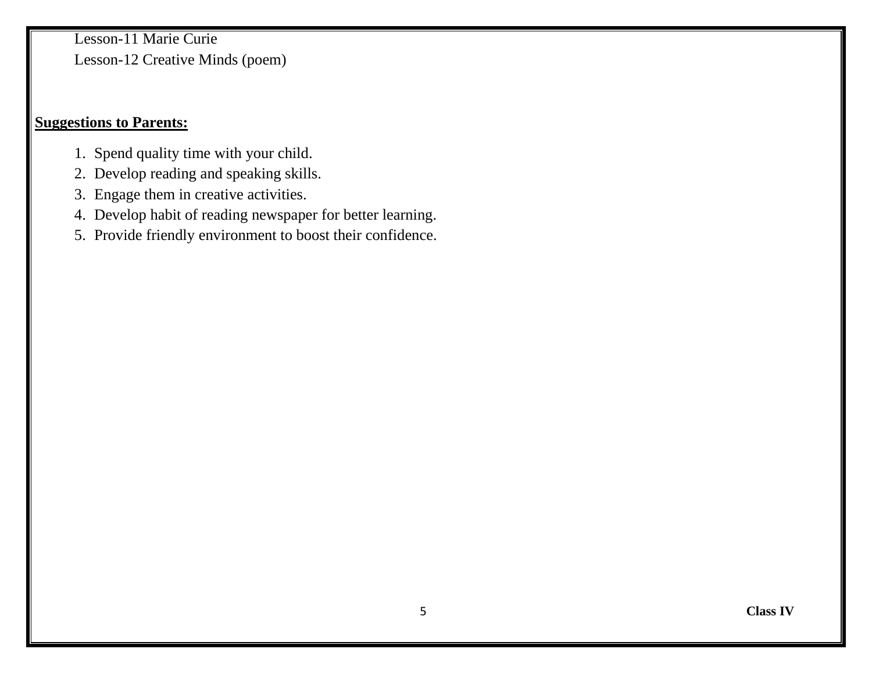Lesson-11 Marie Curie Lesson-12 Creative Minds (poem)

#### **Suggestions to Parents:**

- 1. Spend quality time with your child.
- 2. Develop reading and speaking skills.
- 3. Engage them in creative activities.
- 4. Develop habit of reading newspaper for better learning.
- 5. Provide friendly environment to boost their confidence.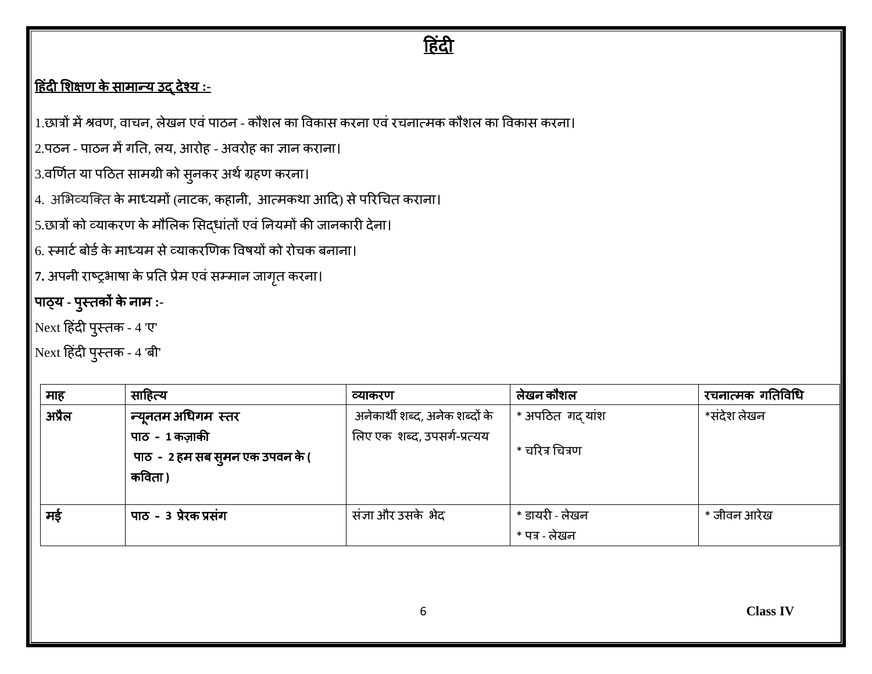# <u>हिंदी</u>

# ह िंदी शिक्षण के सामान्य उद् देश्य **:-**

1.छात्रों में श्रवण, वाचन, लेखन एवं पाठन - कौशल का विकास करना एवं रचनात्मक कौशल का विकास करना।

 $\vert$  2.पठन - पाठन में गति, लय, आरोह - अवरोह का ज्ञान कराना।

3.वर्णित या पठित सामग्री को सुनकर अर्थ ग्रहण करना।

4. अभिव्यक्ति के माध्यमों (नाटक, कहानी, आत्मकथा आदि) से परिचित कराना।

 $\big|$  5.छात्रों को व्याकरण के मौलिक सिद्धांतों एवं नियमों की जानकारी देना।

 $\vert$  6. स्मार्ट बोर्ड के माध्यम से व्याकरणिक विषयों को रोचक बनाना।

 $\vert$ 7. अपनी राष्ट्रभाषा के प्रति प्रेम एवं सम्मान जागृत करना।

#### पाठ्य **-** प ुस्िकों केनाम **:-**

 $\big|$ Next हिंदी पुस्तक - 4 'ए'

 $\big|$ Next हिंदी पुस्तक - 4 'बी'

| माह    | साहित्य                          | व्याकरण                        | लेखन कौशल       | रचनात्मक गतिविधि |
|--------|----------------------------------|--------------------------------|-----------------|------------------|
| अप्रैल | न्यूनतम अधिगम  स्तर              | अनेकार्थी शब्द, अनेक शब्दों के | * अपठित गद यांश | *संदेश लेखन      |
|        | पाठ - 1 कज़ाकी                   | लिए एक शब्द, उपसर्ग-प्रत्यय    |                 |                  |
|        | पाठ -  2 हम सब सुमन एक उपवन के ( |                                | * चरित्र चित्रण |                  |
|        | कविता )                          |                                |                 |                  |
|        |                                  |                                |                 |                  |
| मड़े   | पाठ - 3 प्रेरक प्रसंग            | संज्ञा और उसके भेद             | * डायरी - लेखन  | * जीवन आरेख      |
|        |                                  |                                | * पत्र - लेखन   |                  |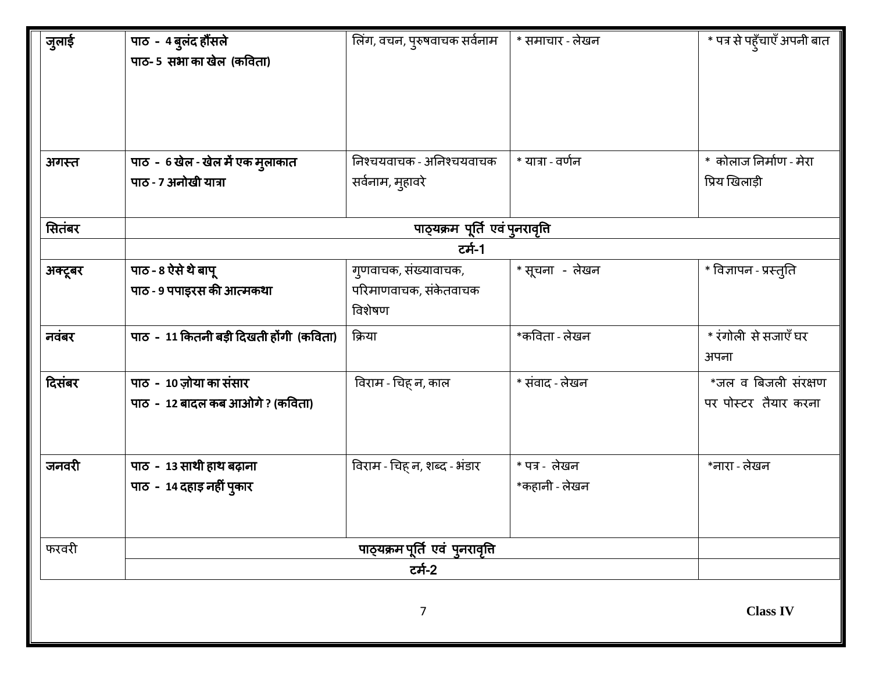| जुलाई   | पाठ - 4 बुलंद हौंसले<br>पाठ- 5 सभा का खेल (कविता) | लिंग, वचन, पुरुषवाचक सर्वनाम   | * समाचार - लेखन  | * पत्र से पहूँचाएँ अपनी बात |
|---------|---------------------------------------------------|--------------------------------|------------------|-----------------------------|
|         |                                                   |                                |                  |                             |
| अगस्त   | पाठ - 6 खेल - खेल में एक मुलाकात                  | निश्चयवाचक - अनिश्चयवाचक       | * यात्रा - वर्णन | * कोलाज निर्माण - मेरा      |
|         | पाठ - 7 अनोखी यात्रा                              | सर्वनाम, मुहावरे               |                  | प्रिय खिलाड़ी               |
| सितंबर  |                                                   | पाठ्यक्रम पूर्ति एवं पुनरावृति |                  |                             |
|         |                                                   | टर्म-1                         |                  |                             |
| अक्टूबर | पाठ - 8 ऐसे थे बापू                               | गुणवाचक, संख्यावाचक,           | * सूचना  - लेखन  | * विज्ञापन - प्रस्तुति      |
|         | पाठ - 9 पपाइरस की आत्मकथा                         | परिमाणवाचक, संकेतवाचक          |                  |                             |
|         |                                                   | विशेषण                         |                  |                             |
| नवंबर   | पाठ - 11 कितनी बड़ी दिखती होंगी (कविता)           | क्रिया                         | *कविता - लेखन    | * रंगोली से सजाएँ घर        |
|         |                                                   |                                |                  | अपना                        |
| दिसंबर  | पाठ - 10 ज़ोया का संसार                           | विराम - चिह् न, काल            | * संवाद - लेखन   | *जल व बिजली संरक्षण         |
|         | पाठ - 12 बादल कब आओगे ? (कविता)                   |                                |                  | पर पोस्टर तैयार करना        |
|         |                                                   |                                |                  |                             |
| जनवरी   | पाठ - 13 साथी हाथ बढ़ाना                          | विराम - चिह् न, शब्द - भंडार   | $*$ पत्र - लेखन  | *नारा - लेखन                |
|         | पाठ - 14 दहाड़ नहीं पुकार                         |                                | *कहानी - लेखन    |                             |
|         |                                                   |                                |                  |                             |
| फरवरी   |                                                   | पाठ्यक्रम पूर्ति एवं पुनरावृति |                  |                             |
|         |                                                   | टर्म-2                         |                  |                             |
|         |                                                   | 7                              |                  | <b>Class IV</b>             |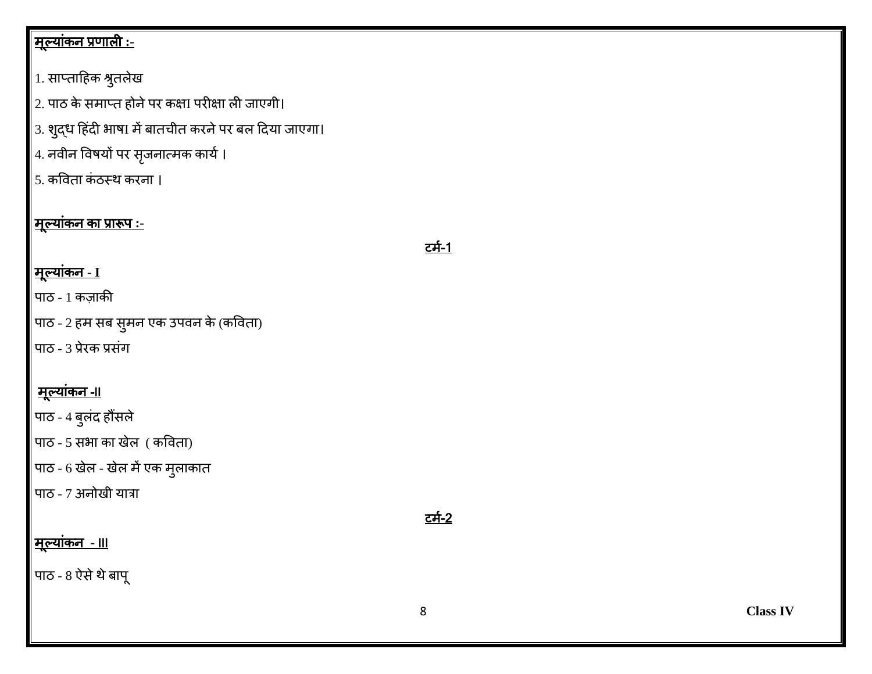# <u>|मूल्यांकन प्रणाली :-</u>

# $\big|$ 1. साप्ताहिक श्रुतलेख

 $\big|2$ . पाठ के समाप्त होने पर कक्षा परीक्षा ली जाएगी।

- $\big|$ 3. शुद्ध हिंदी भाषI में बातचीत करने पर बल दिया जाएगा।
- $\big|$ 4. नवीन विषयों पर सृजनात्मक कार्य ।
- $\vert$ 5. कविता कंठस्थ करना ।

# <u>|मूल्यांकन का प्रारूप :-</u>

# टमि-1

# मूलयाकिं न **- I**

- पाठ 1 कजाकी
- पाठ 2 हम सब सुमन एक उपवन के (कविता)
- पाठ 3 प्रेरक प्रसिंग

# <u>मूल्यांकन -II</u>

पाठ - 4 बुलंद हौंसले

पाठ - 5 सभा का खेल ( कविता)

पाठ - 6 खेल - खेल में एक मुलाकात

पाठ - 7 अनोखी यात्रा

# टमि-2

# मूलयाकिं न **-** III

पाठ -  $8$  ऐसे थे बापू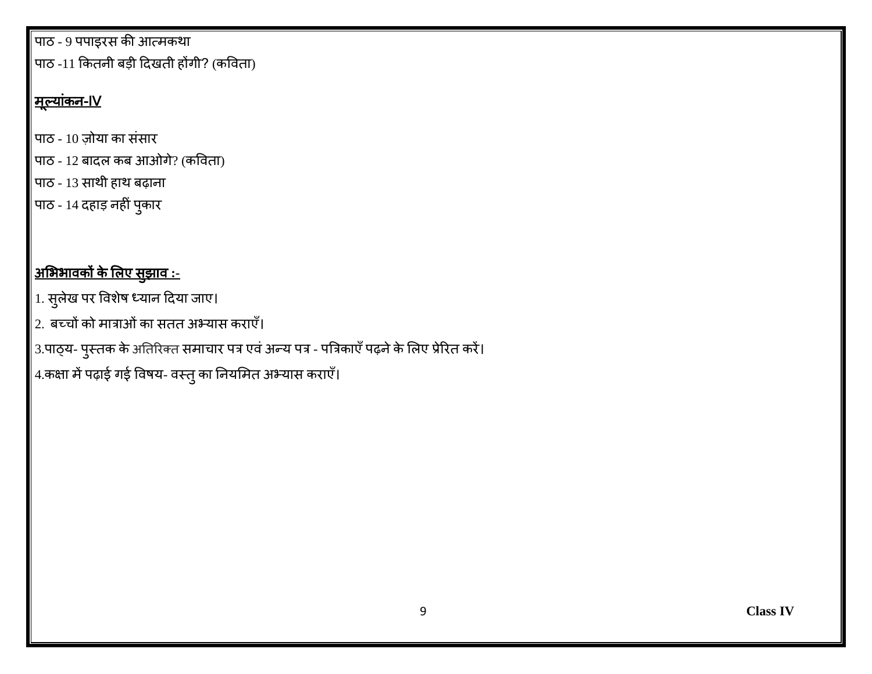पाठ - 9 पपाइरस की आत्मकर्ा पाठ -11 कितनी बड़ी दिखती होंगी? (कविता)

# |<u>मूल्यांकन-IV</u>

पाठ - 10 जोया का सिंसार

 $\big|$ पाठ - 12 बादल कब आओगे? (कविता)

पाठ - 13 साथी हाथ बढ़ाना

पाठ - 14 दहाड़ नहीं पुकार

# <u>अभिभावकों के लिए सुझाव :-</u>

- 1. सुलेख पर वविेष ध्यान हदया जाए।
- $\vert$ 2. बच्चों को मात्राओं का सतत अभ्यास कराएँ।
- 3.पाठ्य- पुस्तक के अतिरिक्त समाचार पत्र एवं अन्य पत्र पत्रिकाएँ पढ़ने के लिए प्रेरित करें।
- $\left|$  4.कक्षा में पढ़ाई गई विषय- वस्तु का नियमित अभ्यास कराएँ।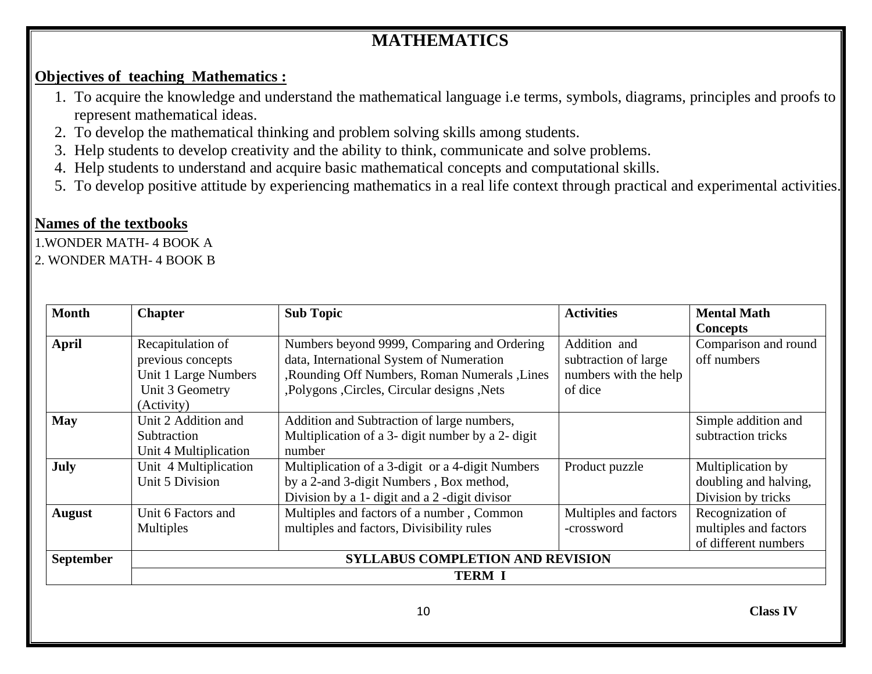# **MATHEMATICS**

#### **Objectives of teaching Mathematics :**

- 1. To acquire the knowledge and understand the mathematical language i.e terms, symbols, diagrams, principles and proofs to represent mathematical ideas.
- 2. To develop the mathematical thinking and problem solving skills among students.
- 3. Help students to develop creativity and the ability to think, communicate and solve problems.
- 4. Help students to understand and acquire basic mathematical concepts and computational skills.
- 5. To develop positive attitude by experiencing mathematics in a real life context through practical and experimental activities.

#### **Names of the textbooks**

1.WONDER MATH- 4 BOOK A

#### 2. WONDER MATH- 4 BOOK B

| <b>Month</b>     | <b>Chapter</b>        | <b>Sub Topic</b>                                  | <b>Activities</b>     | <b>Mental Math</b>    |
|------------------|-----------------------|---------------------------------------------------|-----------------------|-----------------------|
|                  |                       |                                                   |                       | <b>Concepts</b>       |
| <b>April</b>     | Recapitulation of     | Numbers beyond 9999, Comparing and Ordering       | Addition and          | Comparison and round  |
|                  | previous concepts     | data, International System of Numeration          | subtraction of large  | off numbers           |
|                  | Unit 1 Large Numbers  | ,Rounding Off Numbers, Roman Numerals ,Lines      | numbers with the help |                       |
|                  | Unit 3 Geometry       | ,Polygons ,Circles, Circular designs ,Nets        | of dice               |                       |
|                  | (Activity)            |                                                   |                       |                       |
| <b>May</b>       | Unit 2 Addition and   | Addition and Subtraction of large numbers,        |                       | Simple addition and   |
|                  | Subtraction           | Multiplication of a 3- digit number by a 2- digit |                       | subtraction tricks    |
|                  | Unit 4 Multiplication | number                                            |                       |                       |
| July             | Unit 4 Multiplication | Multiplication of a 3-digit or a 4-digit Numbers  | Product puzzle        | Multiplication by     |
|                  | Unit 5 Division       | by a 2-and 3-digit Numbers, Box method,           |                       | doubling and halving, |
|                  |                       | Division by a 1- digit and a 2-digit divisor      |                       | Division by tricks    |
| <b>August</b>    | Unit 6 Factors and    | Multiples and factors of a number, Common         | Multiples and factors | Recognization of      |
|                  | <b>Multiples</b>      | multiples and factors, Divisibility rules         | -crossword            | multiples and factors |
|                  |                       |                                                   |                       | of different numbers  |
| <b>September</b> |                       | <b>SYLLABUS COMPLETION AND REVISION</b>           |                       |                       |
|                  |                       | <b>TERM I</b>                                     |                       |                       |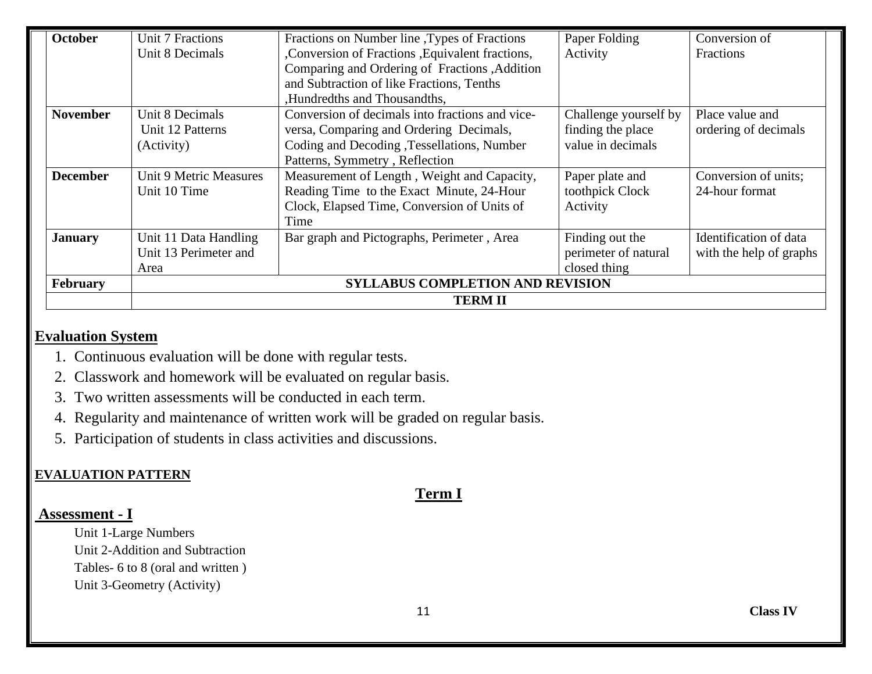| <b>October</b>  | Unit 7 Fractions       | Fractions on Number line, Types of Fractions      | Paper Folding         | Conversion of           |
|-----------------|------------------------|---------------------------------------------------|-----------------------|-------------------------|
|                 | Unit 8 Decimals        | , Conversion of Fractions , Equivalent fractions, | Activity              | <b>Fractions</b>        |
|                 |                        | Comparing and Ordering of Fractions , Addition    |                       |                         |
|                 |                        | and Subtraction of like Fractions, Tenths         |                       |                         |
|                 |                        | ,Hundredths and Thousandths,                      |                       |                         |
| <b>November</b> | Unit 8 Decimals        | Conversion of decimals into fractions and vice-   | Challenge yourself by | Place value and         |
|                 | Unit 12 Patterns       | versa, Comparing and Ordering Decimals,           | finding the place     | ordering of decimals    |
|                 | (Activity)             | Coding and Decoding , Tessellations, Number       | value in decimals     |                         |
|                 |                        | Patterns, Symmetry, Reflection                    |                       |                         |
| <b>December</b> | Unit 9 Metric Measures | Measurement of Length, Weight and Capacity,       | Paper plate and       | Conversion of units;    |
|                 | Unit 10 Time           | Reading Time to the Exact Minute, 24-Hour         | toothpick Clock       | 24-hour format          |
|                 |                        | Clock, Elapsed Time, Conversion of Units of       | Activity              |                         |
|                 |                        | Time                                              |                       |                         |
| <b>January</b>  | Unit 11 Data Handling  | Bar graph and Pictographs, Perimeter, Area        | Finding out the       | Identification of data  |
|                 | Unit 13 Perimeter and  |                                                   | perimeter of natural  | with the help of graphs |
|                 | Area                   |                                                   | closed thing          |                         |
| February        |                        | <b>SYLLABUS COMPLETION AND REVISION</b>           |                       |                         |
|                 |                        | <b>TERM II</b>                                    |                       |                         |

#### **Evaluation System**

- 1. Continuous evaluation will be done with regular tests.
- 2. Classwork and homework will be evaluated on regular basis.
- 3. Two written assessments will be conducted in each term.
- 4. Regularity and maintenance of written work will be graded on regular basis.
- 5. Participation of students in class activities and discussions.

#### **EVALUATION PATTERN**

# **Term I**

#### **Assessment - I**

Unit 1-Large Numbers Unit 2-Addition and Subtraction Tables- 6 to 8 (oral and written ) Unit 3-Geometry (Activity)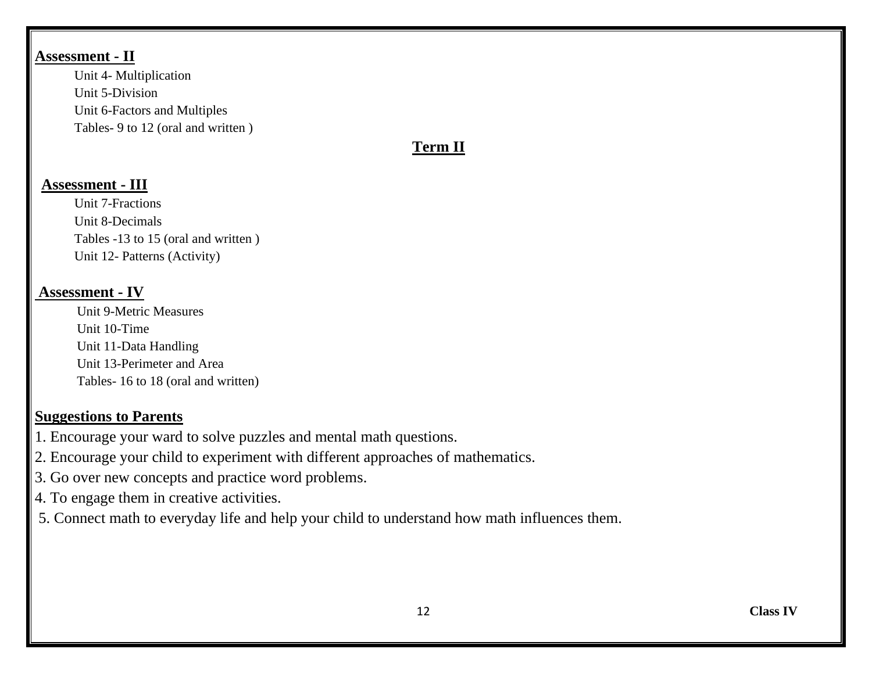#### **Assessment - II**

 Unit 4- Multiplication Unit 5-Division Unit 6-Factors and Multiples Tables- 9 to 12 (oral and written )

## **Term II**

#### **Assessment - III**

Unit 7-Fractions Unit 8-Decimals Tables -13 to 15 (oral and written ) Unit 12- Patterns (Activity)

#### **Assessment - IV**

Unit 9-Metric Measures Unit 10-Time Unit 11-Data Handling Unit 13-Perimeter and Area Tables- 16 to 18 (oral and written)

#### **Suggestions to Parents**

- 1. Encourage your ward to solve puzzles and mental math questions.
- 2. Encourage your child to experiment with different approaches of mathematics.
- 3. Go over new concepts and practice word problems.
- 4. To engage them in creative activities.
- 5. Connect math to everyday life and help your child to understand how math influences them.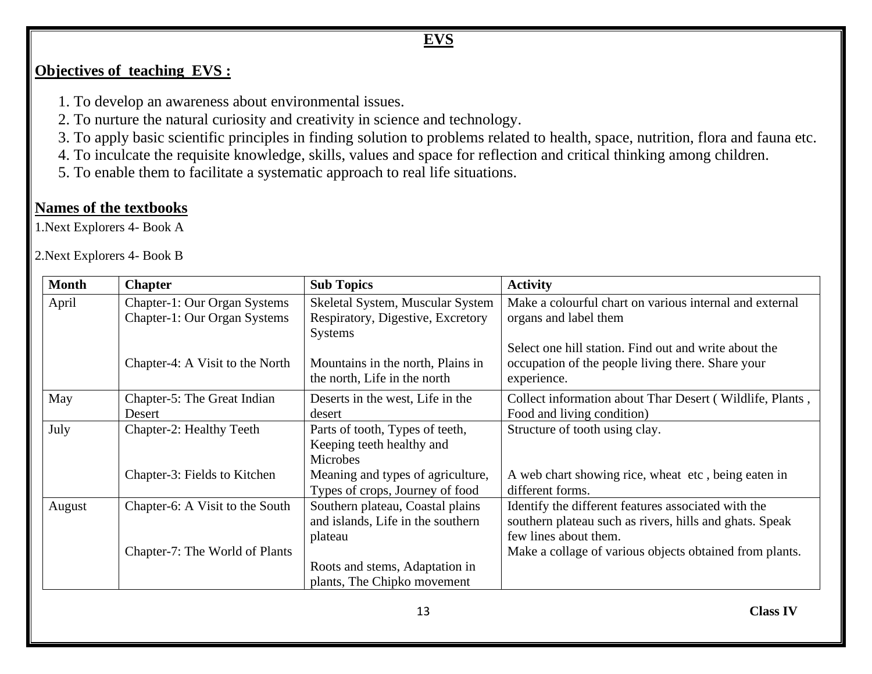# **EVS**

## **Objectives of teaching EVS :**

- 1. To develop an awareness about environmental issues.
- 2. To nurture the natural curiosity and creativity in science and technology.
- 3. To apply basic scientific principles in finding solution to problems related to health, space, nutrition, flora and fauna etc.
- 4. To inculcate the requisite knowledge, skills, values and space for reflection and critical thinking among children.
- 5. To enable them to facilitate a systematic approach to real life situations.

#### **Names of the textbooks**

1.Next Explorers 4- Book A

2.Next Explorers 4- Book B

| <b>Month</b> | <b>Chapter</b>                  | <b>Sub Topics</b>                 | <b>Activity</b>                                          |
|--------------|---------------------------------|-----------------------------------|----------------------------------------------------------|
| April        | Chapter-1: Our Organ Systems    | Skeletal System, Muscular System  | Make a colourful chart on various internal and external  |
|              | Chapter-1: Our Organ Systems    | Respiratory, Digestive, Excretory | organs and label them                                    |
|              |                                 | <b>Systems</b>                    |                                                          |
|              |                                 |                                   | Select one hill station. Find out and write about the    |
|              | Chapter-4: A Visit to the North | Mountains in the north, Plains in | occupation of the people living there. Share your        |
|              |                                 | the north, Life in the north      | experience.                                              |
| May          | Chapter-5: The Great Indian     | Deserts in the west, Life in the  | Collect information about Thar Desert (Wildlife, Plants, |
|              | Desert                          | desert                            | Food and living condition)                               |
| July         | Chapter-2: Healthy Teeth        | Parts of tooth, Types of teeth,   | Structure of tooth using clay.                           |
|              |                                 | Keeping teeth healthy and         |                                                          |
|              |                                 | <b>Microbes</b>                   |                                                          |
|              | Chapter-3: Fields to Kitchen    | Meaning and types of agriculture, | A web chart showing rice, wheat etc, being eaten in      |
|              |                                 | Types of crops, Journey of food   | different forms.                                         |
| August       | Chapter-6: A Visit to the South | Southern plateau, Coastal plains  | Identify the different features associated with the      |
|              |                                 | and islands, Life in the southern | southern plateau such as rivers, hills and ghats. Speak  |
|              |                                 | plateau                           | few lines about them.                                    |
|              | Chapter-7: The World of Plants  |                                   | Make a collage of various objects obtained from plants.  |
|              |                                 | Roots and stems, Adaptation in    |                                                          |
|              |                                 | plants, The Chipko movement       |                                                          |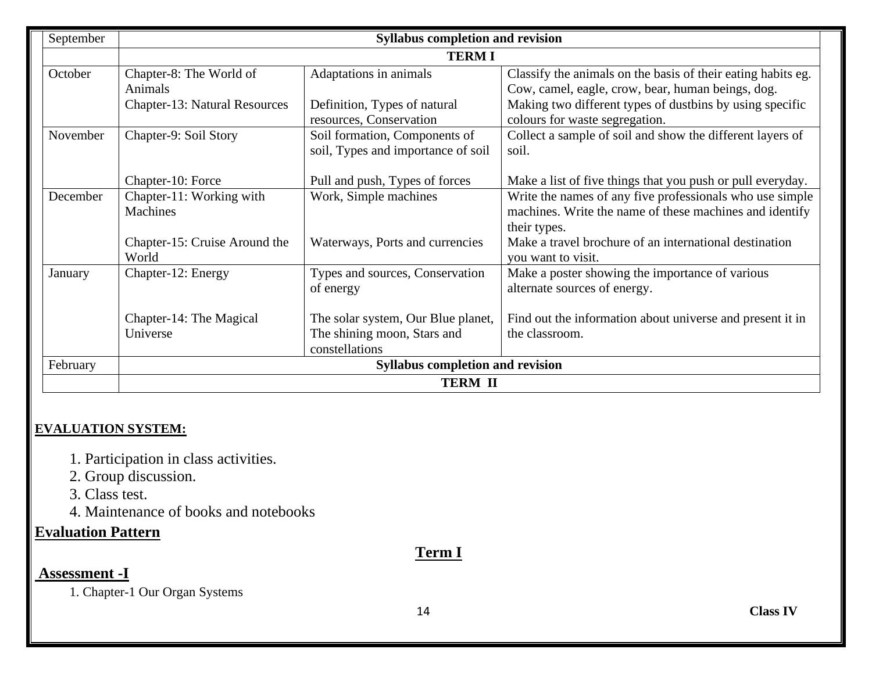| September |                                      | <b>Syllabus completion and revision</b> |                                                              |  |  |
|-----------|--------------------------------------|-----------------------------------------|--------------------------------------------------------------|--|--|
|           |                                      | <b>TERMI</b>                            |                                                              |  |  |
| October   | Chapter-8: The World of              | Adaptations in animals                  | Classify the animals on the basis of their eating habits eg. |  |  |
|           | Animals                              |                                         | Cow, camel, eagle, crow, bear, human beings, dog.            |  |  |
|           | <b>Chapter-13: Natural Resources</b> | Definition, Types of natural            | Making two different types of dustbins by using specific     |  |  |
|           |                                      | resources, Conservation                 | colours for waste segregation.                               |  |  |
| November  | Chapter-9: Soil Story                | Soil formation, Components of           | Collect a sample of soil and show the different layers of    |  |  |
|           |                                      | soil, Types and importance of soil      | soil.                                                        |  |  |
|           |                                      |                                         |                                                              |  |  |
|           | Chapter-10: Force                    | Pull and push, Types of forces          | Make a list of five things that you push or pull everyday.   |  |  |
| December  | Chapter-11: Working with             | Work, Simple machines                   | Write the names of any five professionals who use simple     |  |  |
|           | Machines                             |                                         | machines. Write the name of these machines and identify      |  |  |
|           |                                      |                                         | their types.                                                 |  |  |
|           | Chapter-15: Cruise Around the        | Waterways, Ports and currencies         | Make a travel brochure of an international destination       |  |  |
|           | World                                |                                         | you want to visit.                                           |  |  |
| January   | Chapter-12: Energy                   | Types and sources, Conservation         | Make a poster showing the importance of various              |  |  |
|           |                                      | of energy                               | alternate sources of energy.                                 |  |  |
|           |                                      |                                         |                                                              |  |  |
|           | Chapter-14: The Magical              | The solar system, Our Blue planet,      | Find out the information about universe and present it in    |  |  |
|           | Universe                             | The shining moon, Stars and             | the classroom.                                               |  |  |
|           |                                      | constellations                          |                                                              |  |  |
| February  |                                      | <b>Syllabus completion and revision</b> |                                                              |  |  |
|           |                                      | <b>TERM II</b>                          |                                                              |  |  |

#### **EVALUATION SYSTEM:**

- 1. Participation in class activities.
- 2. Group discussion.
- 3. Class test.
- 4. Maintenance of books and notebooks

## **Evaluation Pattern**

#### **Term I**

### **Assessment -I**

1. Chapter-1 Our Organ Systems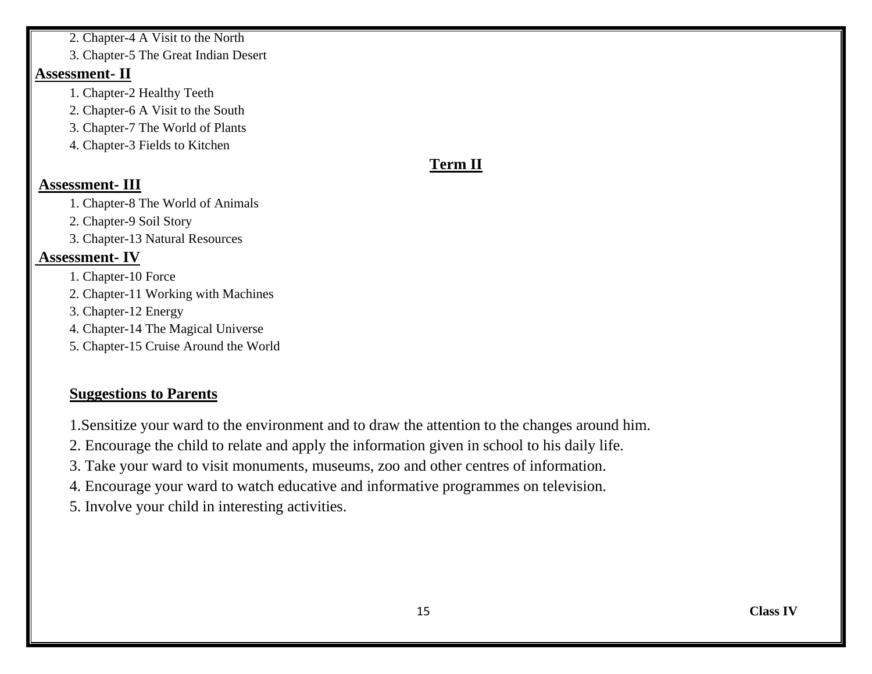2. Chapter-4 A Visit to the North

3. Chapter-5 The Great Indian Desert

#### **Assessment- II**

- 1. Chapter-2 Healthy Teeth
- 2. Chapter-6 A Visit to the South
- 3. Chapter-7 The World of Plants
- 4. Chapter-3 Fields to Kitchen

# **Term II**

#### **Assessment- III**

- 1. Chapter-8 The World of Animals
- 2. Chapter-9 Soil Story
- 3. Chapter-13 Natural Resources

#### **Assessment- IV**

- 1. Chapter-10 Force
- 2. Chapter-11 Working with Machines
- 3. Chapter-12 Energy
- 4. Chapter-14 The Magical Universe
- 5. Chapter-15 Cruise Around the World

#### **Suggestions to Parents**

- 1.Sensitize your ward to the environment and to draw the attention to the changes around him.
- 2. Encourage the child to relate and apply the information given in school to his daily life.
- 3. Take your ward to visit monuments, museums, zoo and other centres of information.
- 4. Encourage your ward to watch educative and informative programmes on television.
- 5. Involve your child in interesting activities.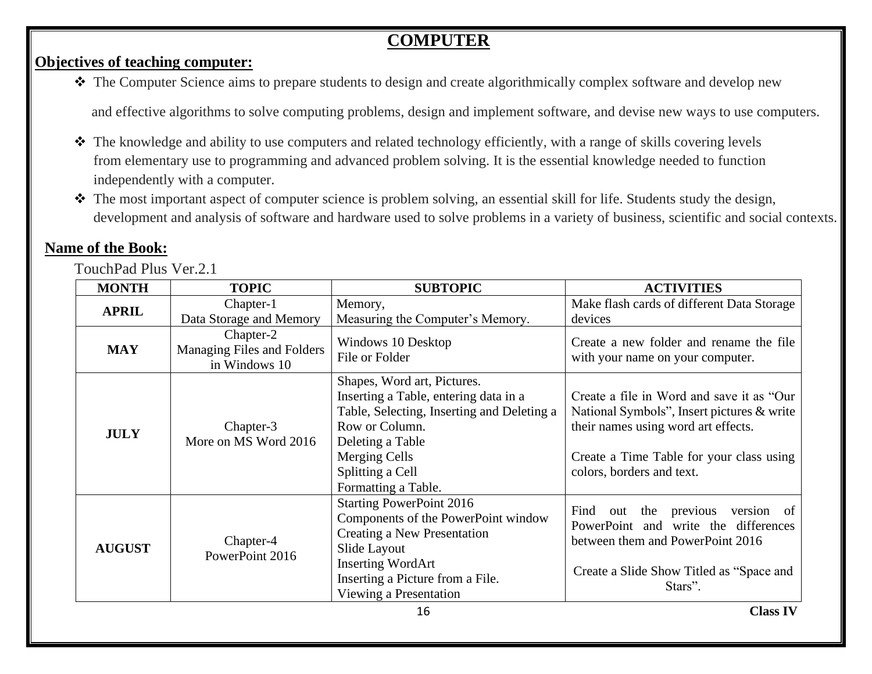# **COMPUTER**

#### **Objectives of teaching computer:**

❖ The Computer Science aims to prepare students to design and create algorithmically complex software and develop new

and effective algorithms to solve computing problems, design and implement software, and devise new ways to use computers.

- ❖ The knowledge and ability to use computers and related technology efficiently, with a range of skills covering levels from elementary use to programming and advanced problem solving. It is the essential knowledge needed to function independently with a computer.
- ❖ The most important aspect of computer science is problem solving, an essential skill for life. Students study the design, development and analysis of software and hardware used to solve problems in a variety of business, scientific and social contexts.

# **Name of the Book:**

TouchPad Plus Ver.2.1

| <b>MONTH</b>  | <b>TOPIC</b>                                             | <b>SUBTOPIC</b>                                                                                                                                                                                                      | <b>ACTIVITIES</b>                                                                                                                                                                                       |
|---------------|----------------------------------------------------------|----------------------------------------------------------------------------------------------------------------------------------------------------------------------------------------------------------------------|---------------------------------------------------------------------------------------------------------------------------------------------------------------------------------------------------------|
| <b>APRIL</b>  | Chapter-1<br>Data Storage and Memory                     | Memory,<br>Measuring the Computer's Memory.                                                                                                                                                                          | Make flash cards of different Data Storage<br>devices                                                                                                                                                   |
| <b>MAY</b>    | Chapter-2<br>Managing Files and Folders<br>in Windows 10 | Windows 10 Desktop<br>File or Folder                                                                                                                                                                                 | Create a new folder and rename the file<br>with your name on your computer.                                                                                                                             |
| <b>JULY</b>   | Chapter-3<br>More on MS Word 2016                        | Shapes, Word art, Pictures.<br>Inserting a Table, entering data in a<br>Table, Selecting, Inserting and Deleting a<br>Row or Column.<br>Deleting a Table<br>Merging Cells<br>Splitting a Cell<br>Formatting a Table. | Create a file in Word and save it as "Our<br>National Symbols", Insert pictures & write<br>their names using word art effects.<br>Create a Time Table for your class using<br>colors, borders and text. |
| <b>AUGUST</b> | Chapter-4<br>PowerPoint 2016                             | <b>Starting PowerPoint 2016</b><br>Components of the PowerPoint window<br>Creating a New Presentation<br>Slide Layout<br><b>Inserting WordArt</b><br>Inserting a Picture from a File.<br>Viewing a Presentation      | previous<br>Find<br>the<br>version of<br>out<br>and write the<br>PowerPoint<br>differences<br>between them and PowerPoint 2016<br>Create a Slide Show Titled as "Space and<br>Stars".                   |
|               |                                                          | 16                                                                                                                                                                                                                   | <b>Class IV</b>                                                                                                                                                                                         |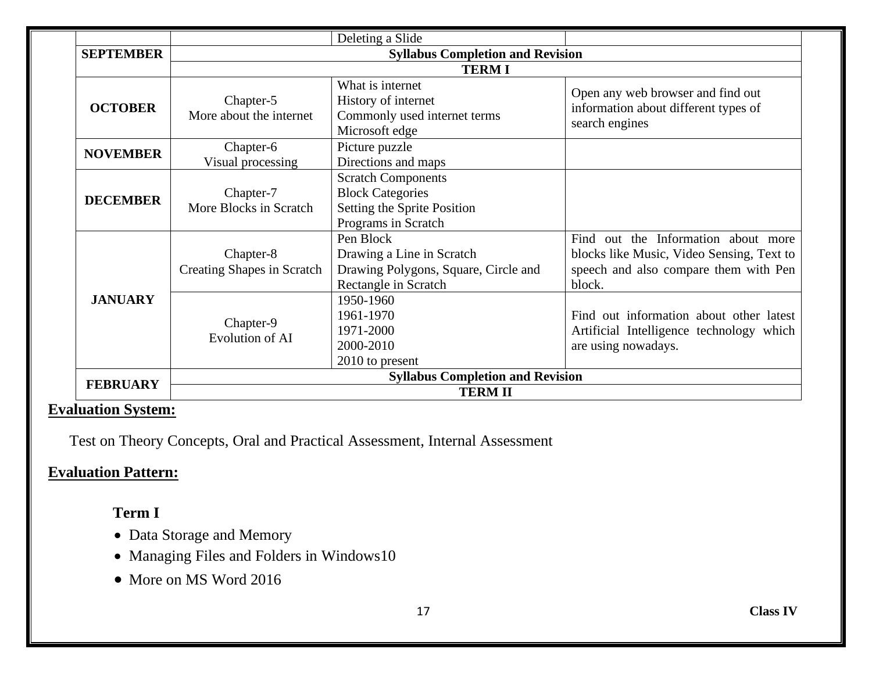|                  |                                                | Deleting a Slide                                                                                           |                                                                                                                                     |  |  |
|------------------|------------------------------------------------|------------------------------------------------------------------------------------------------------------|-------------------------------------------------------------------------------------------------------------------------------------|--|--|
| <b>SEPTEMBER</b> | <b>Syllabus Completion and Revision</b>        |                                                                                                            |                                                                                                                                     |  |  |
|                  |                                                | <b>TERMI</b>                                                                                               |                                                                                                                                     |  |  |
| <b>OCTOBER</b>   | Chapter-5<br>More about the internet           | What is internet<br>History of internet<br>Commonly used internet terms<br>Microsoft edge                  | Open any web browser and find out<br>information about different types of<br>search engines                                         |  |  |
| <b>NOVEMBER</b>  | Chapter-6<br>Visual processing                 | Picture puzzle<br>Directions and maps                                                                      |                                                                                                                                     |  |  |
| <b>DECEMBER</b>  | Chapter-7<br>More Blocks in Scratch            | <b>Scratch Components</b><br><b>Block Categories</b><br>Setting the Sprite Position<br>Programs in Scratch |                                                                                                                                     |  |  |
|                  | Chapter-8<br><b>Creating Shapes in Scratch</b> | Pen Block<br>Drawing a Line in Scratch<br>Drawing Polygons, Square, Circle and<br>Rectangle in Scratch     | Find out the Information about more<br>blocks like Music, Video Sensing, Text to<br>speech and also compare them with Pen<br>block. |  |  |
| <b>JANUARY</b>   | Chapter-9<br>Evolution of AI                   | 1950-1960<br>1961-1970<br>1971-2000<br>2000-2010<br>2010 to present                                        | Find out information about other latest<br>Artificial Intelligence technology which<br>are using nowadays.                          |  |  |
| <b>FEBRUARY</b>  | <b>Syllabus Completion and Revision</b>        |                                                                                                            |                                                                                                                                     |  |  |
|                  |                                                | <b>TERMII</b>                                                                                              |                                                                                                                                     |  |  |

#### **Evaluation System:**

Test on Theory Concepts, Oral and Practical Assessment, Internal Assessment

# **Evaluation Pattern:**

## **Term I**

- Data Storage and Memory
- Managing Files and Folders in Windows10
- More on MS Word 2016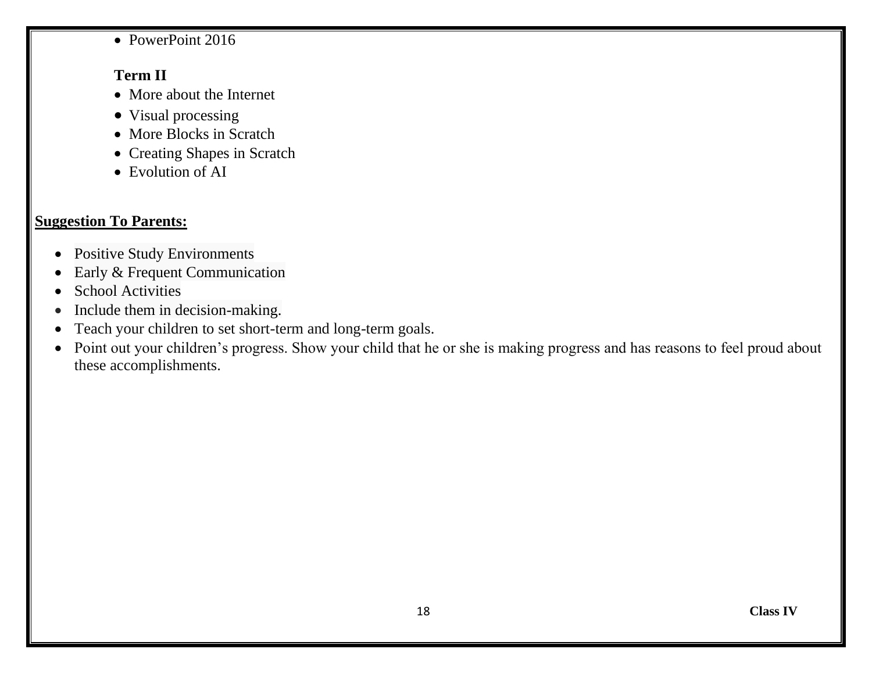• PowerPoint 2016

#### **Term II**

- More about the Internet
- Visual processing
- More Blocks in Scratch
- Creating Shapes in Scratch
- Evolution of AI

# **Suggestion To Parents:**

- Positive Study Environments
- Early & Frequent Communication
- School Activities
- Include them in decision-making.
- Teach your children to set short-term and long-term goals.
- Point out your children's progress. Show your child that he or she is making progress and has reasons to feel proud about these accomplishments.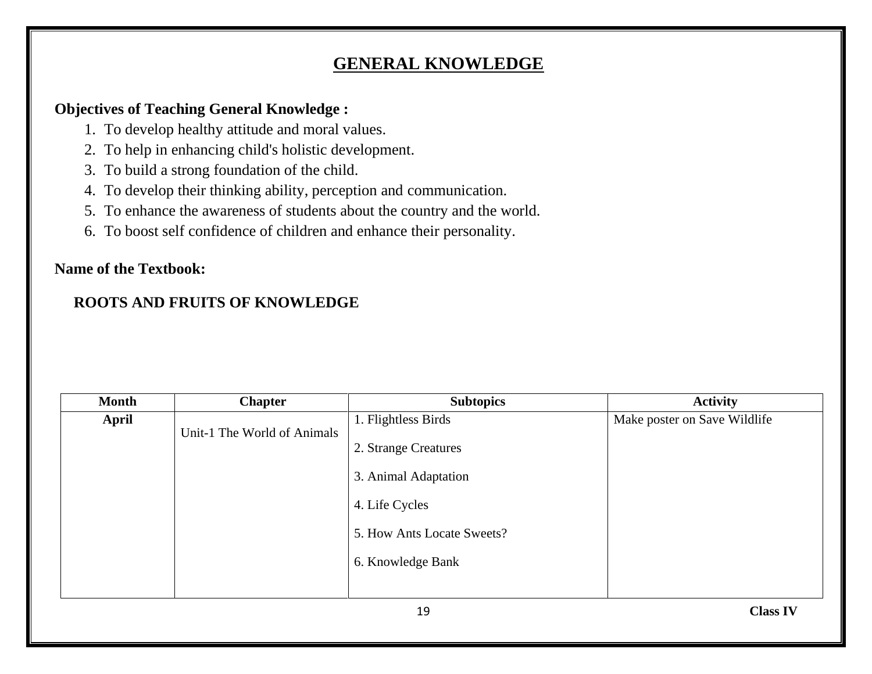# **GENERAL KNOWLEDGE**

#### **Objectives of Teaching General Knowledge :**

- 1. To develop healthy attitude and moral values.
- 2. To help in enhancing child's holistic development.
- 3. To build a strong foundation of the child.
- 4. To develop their thinking ability, perception and communication.
- 5. To enhance the awareness of students about the country and the world.
- 6. To boost self confidence of children and enhance their personality.

### **Name of the Textbook:**

## **ROOTS AND FRUITS OF KNOWLEDGE**

| <b>Month</b> | <b>Chapter</b>              | <b>Subtopics</b>           | <b>Activity</b>              |
|--------------|-----------------------------|----------------------------|------------------------------|
| April        |                             | 1. Flightless Birds        | Make poster on Save Wildlife |
|              | Unit-1 The World of Animals | 2. Strange Creatures       |                              |
|              |                             | 3. Animal Adaptation       |                              |
|              |                             | 4. Life Cycles             |                              |
|              |                             | 5. How Ants Locate Sweets? |                              |
|              |                             | 6. Knowledge Bank          |                              |
|              |                             |                            |                              |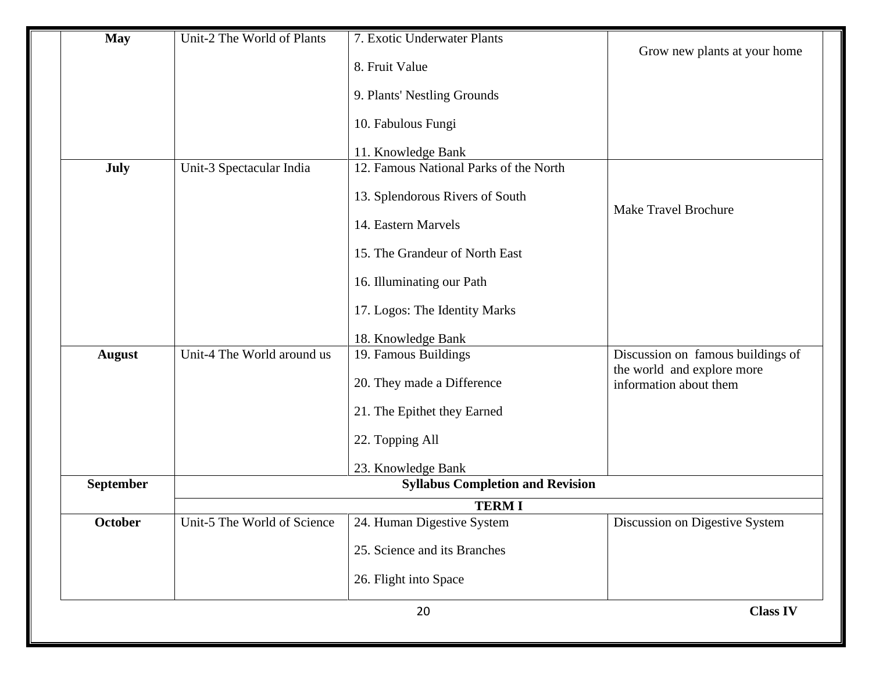| <b>May</b>       | Unit-2 The World of Plants  | 7. Exotic Underwater Plants             | Grow new plants at your home                                    |
|------------------|-----------------------------|-----------------------------------------|-----------------------------------------------------------------|
|                  |                             | 8. Fruit Value                          |                                                                 |
|                  |                             | 9. Plants' Nestling Grounds             |                                                                 |
|                  |                             | 10. Fabulous Fungi                      |                                                                 |
|                  |                             | 11. Knowledge Bank                      |                                                                 |
| <b>July</b>      | Unit-3 Spectacular India    | 12. Famous National Parks of the North  |                                                                 |
|                  |                             | 13. Splendorous Rivers of South         |                                                                 |
|                  |                             | 14. Eastern Marvels                     | <b>Make Travel Brochure</b>                                     |
|                  |                             | 15. The Grandeur of North East          |                                                                 |
|                  |                             | 16. Illuminating our Path               |                                                                 |
|                  |                             | 17. Logos: The Identity Marks           |                                                                 |
|                  |                             | 18. Knowledge Bank                      |                                                                 |
| <b>August</b>    | Unit-4 The World around us  | 19. Famous Buildings                    | Discussion on famous buildings of<br>the world and explore more |
|                  |                             | 20. They made a Difference              | information about them                                          |
|                  |                             | 21. The Epithet they Earned             |                                                                 |
|                  |                             | 22. Topping All                         |                                                                 |
|                  |                             | 23. Knowledge Bank                      |                                                                 |
| <b>September</b> |                             | <b>Syllabus Completion and Revision</b> |                                                                 |
|                  |                             | <b>TERMI</b>                            |                                                                 |
| October          | Unit-5 The World of Science | 24. Human Digestive System              | Discussion on Digestive System                                  |
|                  |                             | 25. Science and its Branches            |                                                                 |
|                  |                             | 26. Flight into Space                   |                                                                 |
|                  |                             | 20                                      | <b>Class IV</b>                                                 |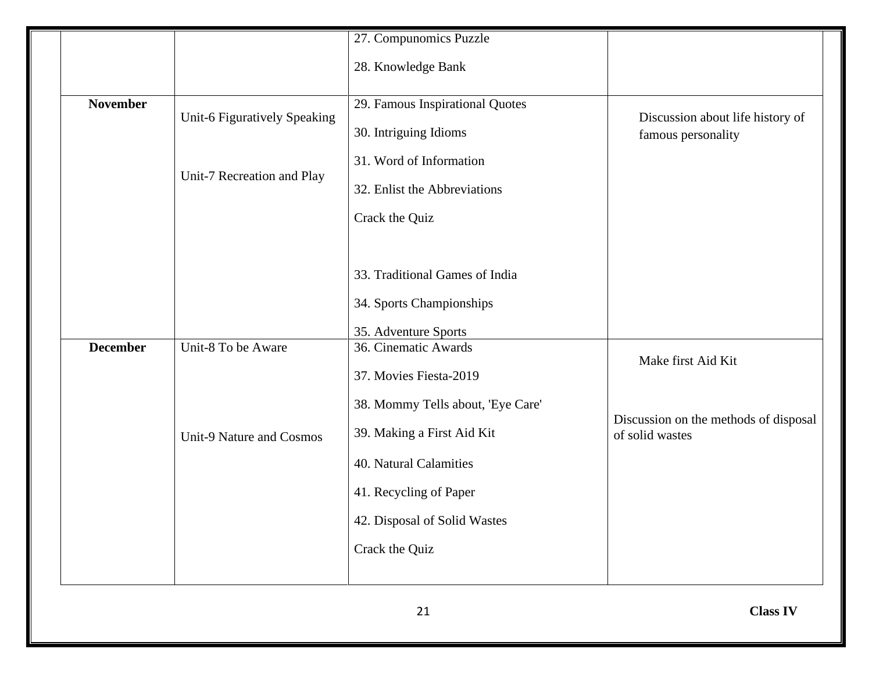|                                                            | 28. Knowledge Bank                                                                                                                    |                                                          |
|------------------------------------------------------------|---------------------------------------------------------------------------------------------------------------------------------------|----------------------------------------------------------|
| Unit-6 Figuratively Speaking<br>Unit-7 Recreation and Play | 29. Famous Inspirational Quotes<br>30. Intriguing Idioms<br>31. Word of Information<br>32. Enlist the Abbreviations<br>Crack the Quiz | Discussion about life history of<br>famous personality   |
|                                                            | 33. Traditional Games of India<br>34. Sports Championships<br>35. Adventure Sports                                                    |                                                          |
|                                                            | 36. Cinematic Awards<br>37. Movies Fiesta-2019                                                                                        | Make first Aid Kit                                       |
| Unit-9 Nature and Cosmos                                   | 39. Making a First Aid Kit<br>40. Natural Calamities<br>41. Recycling of Paper<br>42. Disposal of Solid Wastes<br>Crack the Quiz      | Discussion on the methods of disposal<br>of solid wastes |
|                                                            | Unit-8 To be Aware                                                                                                                    | 38. Mommy Tells about, 'Eye Care'                        |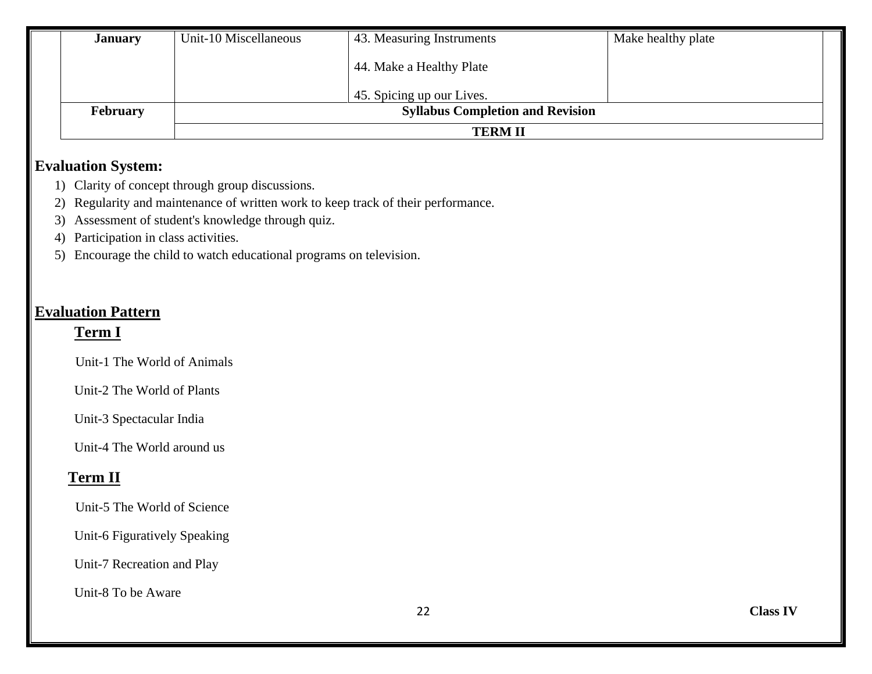| <b>January</b>  | Unit-10 Miscellaneous                   | 43. Measuring Instruments | Make healthy plate |  |
|-----------------|-----------------------------------------|---------------------------|--------------------|--|
|                 |                                         | 44. Make a Healthy Plate  |                    |  |
|                 |                                         | 45. Spicing up our Lives. |                    |  |
| <b>February</b> | <b>Syllabus Completion and Revision</b> |                           |                    |  |
|                 | <b>TERM II</b>                          |                           |                    |  |

#### **Evaluation System:**

- 1) Clarity of concept through group discussions.
- 2) Regularity and maintenance of written work to keep track of their performance.
- 3) Assessment of student's knowledge through quiz.
- 4) Participation in class activities.
- 5) Encourage the child to watch educational programs on television.

## **Evaluation Pattern**

#### **Term I**

Unit-1 The World of Animals

Unit-2 The World of Plants

Unit-3 Spectacular India

Unit-4 The World around us

# **Term II**

Unit-5 The World of Science

Unit-6 Figuratively Speaking

Unit-7 Recreation and Play

Unit-8 To be Aware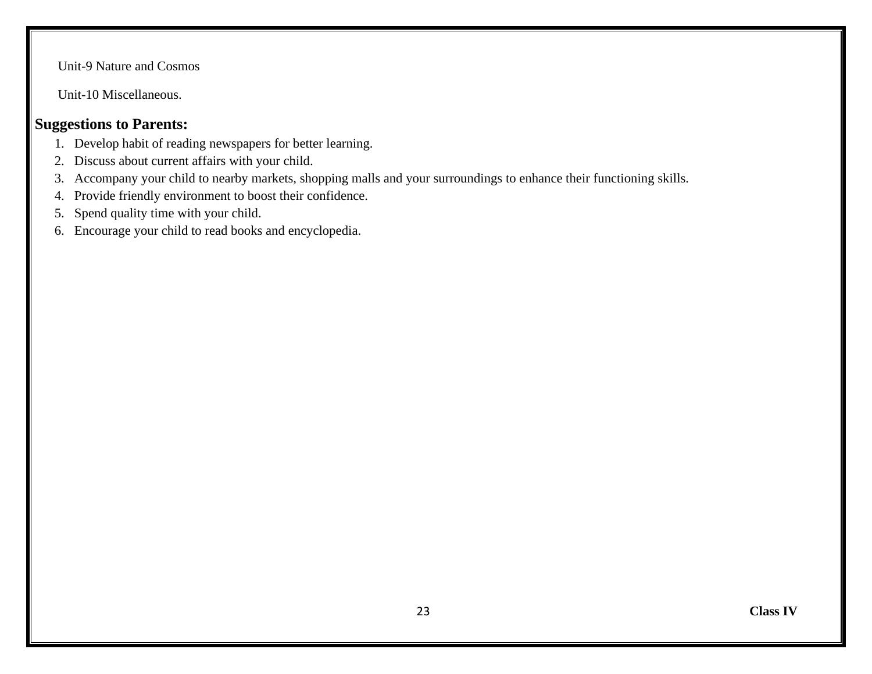Unit-9 Nature and Cosmos

Unit-10 Miscellaneous.

#### **Suggestions to Parents:**

- 1. Develop habit of reading newspapers for better learning.
- 2. Discuss about current affairs with your child.
- 3. Accompany your child to nearby markets, shopping malls and your surroundings to enhance their functioning skills.
- 4. Provide friendly environment to boost their confidence.
- 5. Spend quality time with your child.
- 6. Encourage your child to read books and encyclopedia.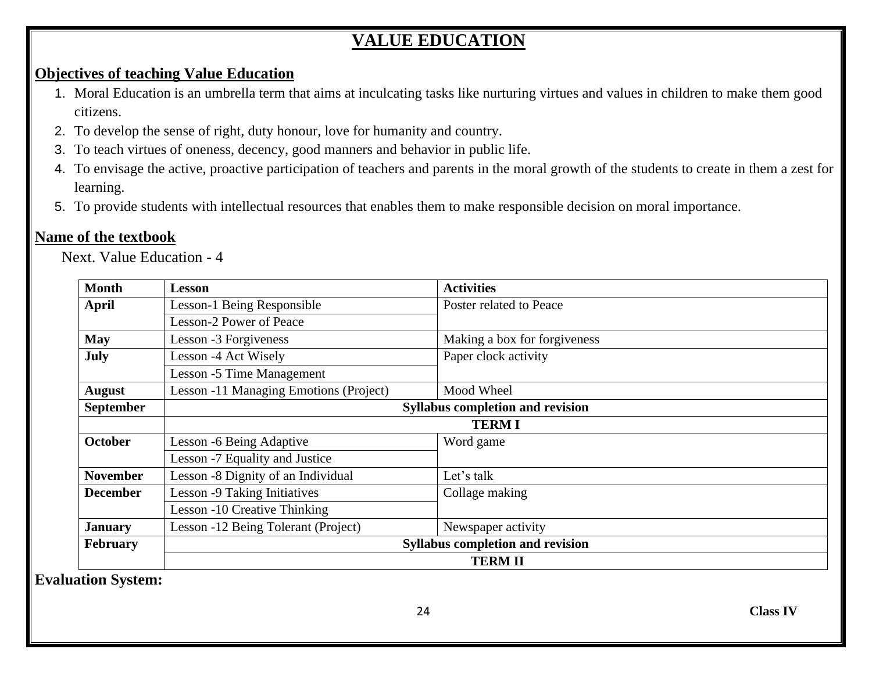# **VALUE EDUCATION**

#### **Objectives of teaching Value Education**

- 1. Moral Education is an umbrella term that aims at inculcating tasks like nurturing virtues and values in children to make them good citizens.
- 2. To develop the sense of right, duty honour, love for humanity and country.
- 3. To teach virtues of oneness, decency, good manners and behavior in public life.
- 4. To envisage the active, proactive participation of teachers and parents in the moral growth of the students to create in them a zest for learning.
- 5. To provide students with intellectual resources that enables them to make responsible decision on moral importance.

#### **Name of the textbook**

Next. Value Education - 4

| <b>Month</b>     | <b>Lesson</b>                           | <b>Activities</b>            |  |
|------------------|-----------------------------------------|------------------------------|--|
| April            | Lesson-1 Being Responsible              | Poster related to Peace      |  |
|                  | Lesson-2 Power of Peace                 |                              |  |
| <b>May</b>       | Lesson -3 Forgiveness                   | Making a box for forgiveness |  |
| July             | Lesson -4 Act Wisely                    | Paper clock activity         |  |
|                  | Lesson -5 Time Management               |                              |  |
| <b>August</b>    | Lesson -11 Managing Emotions (Project)  | Mood Wheel                   |  |
| <b>September</b> | <b>Syllabus completion and revision</b> |                              |  |
|                  | <b>TERMI</b>                            |                              |  |
| <b>October</b>   | Lesson -6 Being Adaptive                | Word game                    |  |
|                  | Lesson -7 Equality and Justice          |                              |  |
| <b>November</b>  | Lesson -8 Dignity of an Individual      | Let's talk                   |  |
| <b>December</b>  | Lesson -9 Taking Initiatives            | Collage making               |  |
|                  | Lesson -10 Creative Thinking            |                              |  |
| <b>January</b>   | Lesson -12 Being Tolerant (Project)     | Newspaper activity           |  |
| February         | <b>Syllabus completion and revision</b> |                              |  |
|                  | <b>TERM II</b>                          |                              |  |

**Evaluation System:**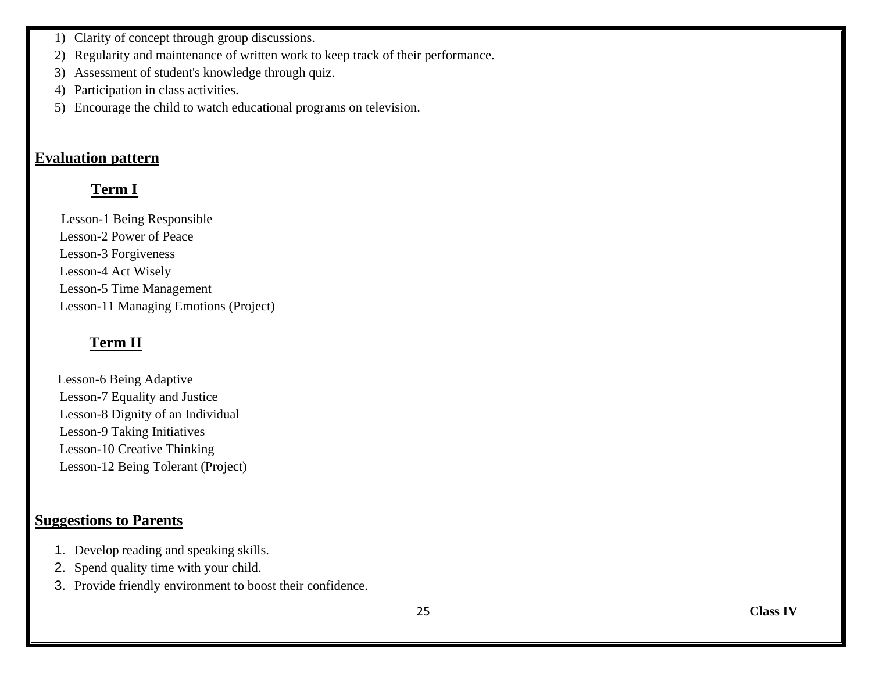- 1) Clarity of concept through group discussions.
- 2) Regularity and maintenance of written work to keep track of their performance.
- 3) Assessment of student's knowledge through quiz.
- 4) Participation in class activities.
- 5) Encourage the child to watch educational programs on television.

#### **Evaluation pattern**

# **Term I**

 Lesson-1 Being Responsible Lesson-2 Power of Peace Lesson-3 Forgiveness Lesson-4 Act Wisely Lesson-5 Time Management Lesson-11 Managing Emotions (Project)

# **Term II**

 Lesson-6 Being Adaptive Lesson-7 Equality and Justice Lesson-8 Dignity of an Individual Lesson-9 Taking Initiatives Lesson-10 Creative Thinking Lesson-12 Being Tolerant (Project)

### **Suggestions to Parents**

- 1. Develop reading and speaking skills.
- 2. Spend quality time with your child.
- 3. Provide friendly environment to boost their confidence.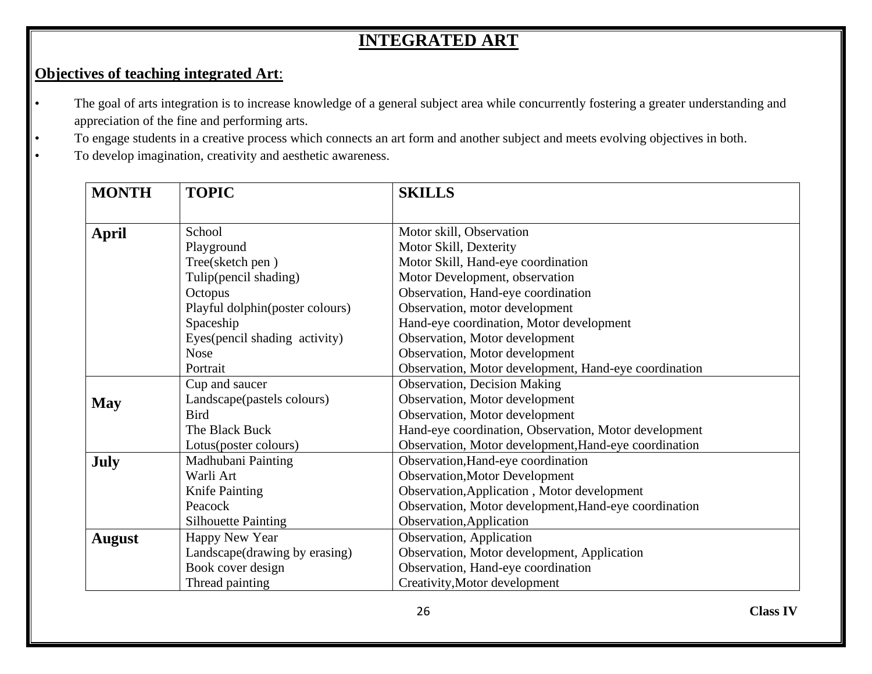# **INTEGRATED ART**

## **Objectives of teaching integrated Art**:

- The goal of arts integration is to increase knowledge of a general subject area while concurrently fostering a greater understanding and appreciation of the fine and performing arts.
- To engage students in a creative process which connects an art form and another subject and meets evolving objectives in both.
- To develop imagination, creativity and aesthetic awareness.

| <b>MONTH</b>  | <b>TOPIC</b>                    | <b>SKILLS</b>                                         |
|---------------|---------------------------------|-------------------------------------------------------|
|               |                                 |                                                       |
| <b>April</b>  | School                          | Motor skill, Observation                              |
|               | Playground                      | Motor Skill, Dexterity                                |
|               | Tree(sketch pen)                | Motor Skill, Hand-eye coordination                    |
|               | Tulip(pencil shading)           | Motor Development, observation                        |
|               | Octopus                         | Observation, Hand-eye coordination                    |
|               | Playful dolphin(poster colours) | Observation, motor development                        |
|               | Spaceship                       | Hand-eye coordination, Motor development              |
|               | Eyes (pencil shading activity)  | Observation, Motor development                        |
|               | <b>Nose</b>                     | Observation, Motor development                        |
|               | Portrait                        | Observation, Motor development, Hand-eye coordination |
|               | Cup and saucer                  | <b>Observation, Decision Making</b>                   |
| <b>May</b>    | Landscape(pastels colours)      | Observation, Motor development                        |
|               | <b>Bird</b>                     | Observation, Motor development                        |
|               | The Black Buck                  | Hand-eye coordination, Observation, Motor development |
|               | Lotus(poster colours)           | Observation, Motor development, Hand-eye coordination |
| July          | Madhubani Painting              | Observation, Hand-eye coordination                    |
|               | Warli Art                       | <b>Observation, Motor Development</b>                 |
|               | Knife Painting                  | Observation, Application, Motor development           |
|               | Peacock                         | Observation, Motor development, Hand-eye coordination |
|               | <b>Silhouette Painting</b>      | Observation, Application                              |
| <b>August</b> | Happy New Year                  | Observation, Application                              |
|               | Landscape(drawing by erasing)   | Observation, Motor development, Application           |
|               | Book cover design               | Observation, Hand-eye coordination                    |
|               | Thread painting                 | Creativity, Motor development                         |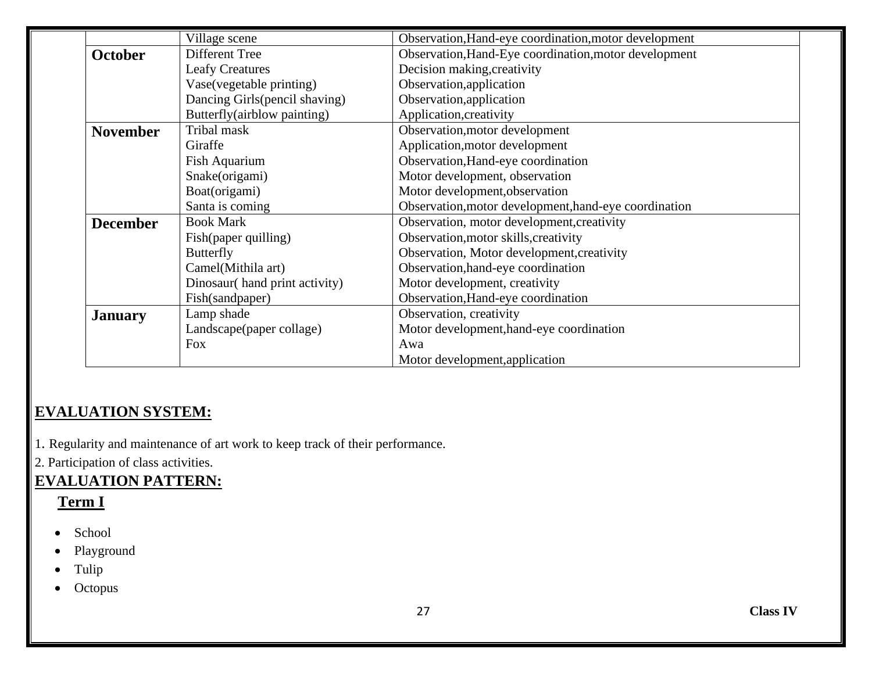|                 | Village scene                 | Observation, Hand-eye coordination, motor development |
|-----------------|-------------------------------|-------------------------------------------------------|
| <b>October</b>  | Different Tree                | Observation, Hand-Eye coordination, motor development |
|                 | <b>Leafy Creatures</b>        | Decision making, creativity                           |
|                 | Vase(vegetable printing)      | Observation, application                              |
|                 | Dancing Girls(pencil shaving) | Observation, application                              |
|                 | Butterfly(airblow painting)   | Application, creativity                               |
| <b>November</b> | Tribal mask                   | Observation, motor development                        |
|                 | Giraffe                       | Application, motor development                        |
|                 | Fish Aquarium                 | Observation, Hand-eye coordination                    |
|                 | Snake(origami)                | Motor development, observation                        |
|                 | Boat(origami)                 | Motor development, observation                        |
|                 | Santa is coming               | Observation, motor development, hand-eye coordination |
| <b>December</b> | <b>Book Mark</b>              | Observation, motor development, creativity            |
|                 | Fish(paper quilling)          | Observation, motor skills, creativity                 |
|                 | <b>Butterfly</b>              | Observation, Motor development, creativity            |
|                 | Camel(Mithila art)            | Observation, hand-eye coordination                    |
|                 | Dinosaur(hand print activity) | Motor development, creativity                         |
|                 | Fish(sandpaper)               | Observation, Hand-eye coordination                    |
| <b>January</b>  | Lamp shade                    | Observation, creativity                               |
|                 | Landscape(paper collage)      | Motor development, hand-eye coordination              |
|                 | <b>Fox</b>                    | Awa                                                   |
|                 |                               | Motor development, application                        |

# **EVALUATION SYSTEM:**

1. Regularity and maintenance of art work to keep track of their performance.

2. Participation of class activities.

# **EVALUATION PATTERN:**

#### **Term I**

- School
- Playground
- Tulip
- Octopus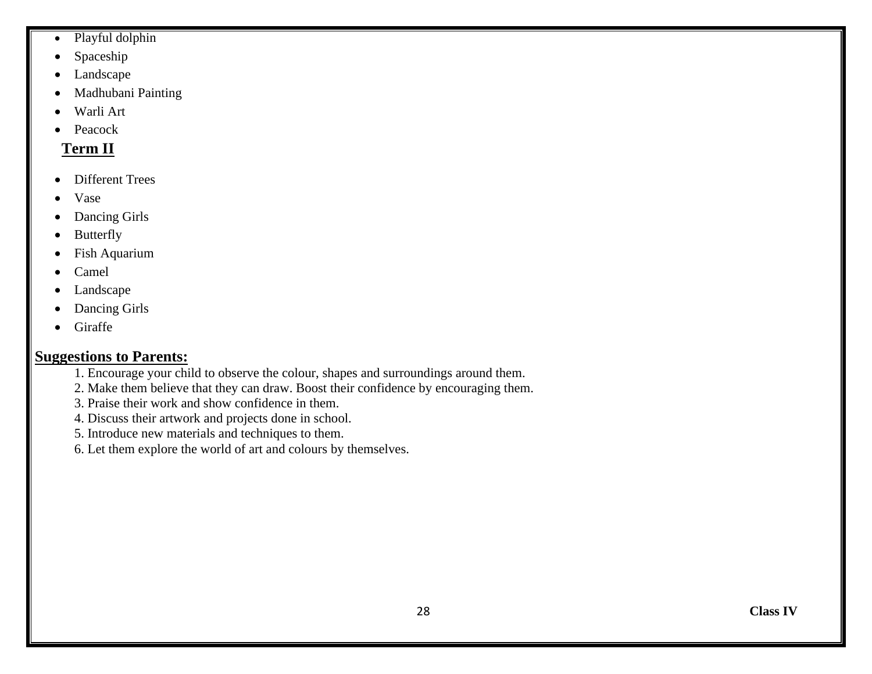- Playful dolphin
- Spaceship
- Landscape
- Madhubani Painting
- Warli Art
- **Peacock**

# **Term II**

- Different Trees
- Vase
- Dancing Girls
- Butterfly
- Fish Aquarium
- Camel
- Landscape
- Dancing Girls
- Giraffe

#### **Suggestions to Parents:**

- 1. Encourage your child to observe the colour, shapes and surroundings around them.
- 2. Make them believe that they can draw. Boost their confidence by encouraging them.
- 3. Praise their work and show confidence in them.
- 4. Discuss their artwork and projects done in school.
- 5. Introduce new materials and techniques to them.
- 6. Let them explore the world of art and colours by themselves.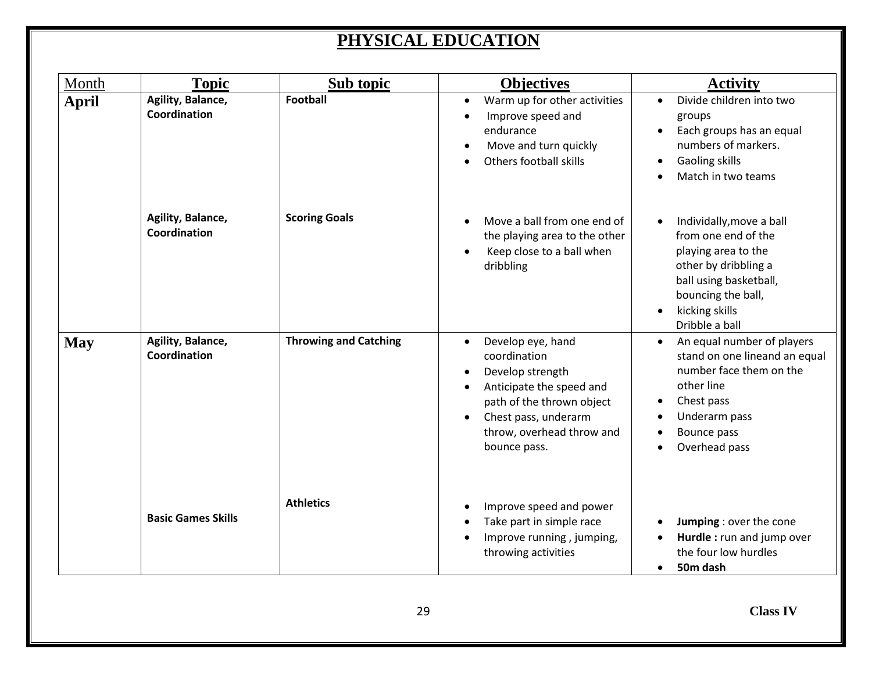# **PHYSICAL EDUCATION**

| Month        | <b>Topic</b>                      | Sub topic                    | <b>Objectives</b>                                                                                                                                                                                             | <b>Activity</b>                                                                                                                                                                                              |
|--------------|-----------------------------------|------------------------------|---------------------------------------------------------------------------------------------------------------------------------------------------------------------------------------------------------------|--------------------------------------------------------------------------------------------------------------------------------------------------------------------------------------------------------------|
| <b>April</b> | Agility, Balance,<br>Coordination | <b>Football</b>              | Warm up for other activities<br>$\bullet$<br>Improve speed and<br>endurance<br>Move and turn quickly<br>Others football skills                                                                                | Divide children into two<br>$\bullet$<br>groups<br>Each groups has an equal<br>numbers of markers.<br>Gaoling skills<br>$\bullet$<br>Match in two teams                                                      |
|              | Agility, Balance,<br>Coordination | <b>Scoring Goals</b>         | Move a ball from one end of<br>the playing area to the other<br>Keep close to a ball when<br>dribbling                                                                                                        | Individally, move a ball<br>$\bullet$<br>from one end of the<br>playing area to the<br>other by dribbling a<br>ball using basketball,<br>bouncing the ball,<br>kicking skills<br>$\bullet$<br>Dribble a ball |
| <b>May</b>   | Agility, Balance,<br>Coordination | <b>Throwing and Catching</b> | Develop eye, hand<br>$\bullet$<br>coordination<br>Develop strength<br>$\bullet$<br>Anticipate the speed and<br>path of the thrown object<br>Chest pass, underarm<br>throw, overhead throw and<br>bounce pass. | An equal number of players<br>stand on one lineand an equal<br>number face them on the<br>other line<br>Chest pass<br>Underarm pass<br>Bounce pass<br>Overhead pass<br>$\bullet$                             |
|              | <b>Basic Games Skills</b>         | <b>Athletics</b>             | Improve speed and power<br>Take part in simple race<br>Improve running, jumping,<br>throwing activities                                                                                                       | Jumping : over the cone<br>Hurdle: run and jump over<br>the four low hurdles<br>50m dash<br>$\bullet$                                                                                                        |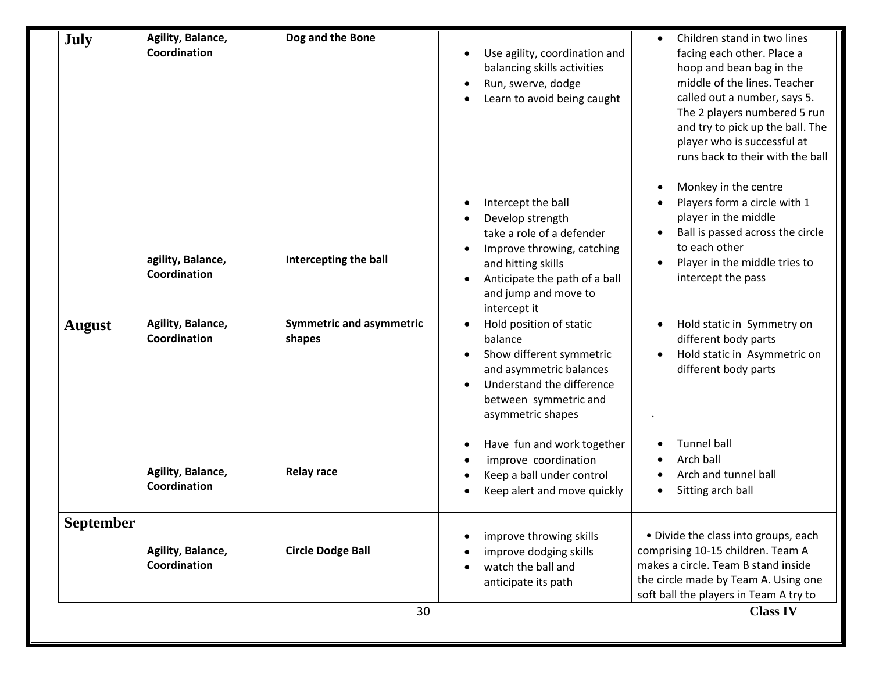| <b>July</b>   | Agility, Balance, | Dog and the Bone                |                               | Children stand in two lines            |
|---------------|-------------------|---------------------------------|-------------------------------|----------------------------------------|
|               | Coordination      |                                 | Use agility, coordination and | facing each other. Place a             |
|               |                   |                                 | balancing skills activities   | hoop and bean bag in the               |
|               |                   |                                 | Run, swerve, dodge            | middle of the lines. Teacher           |
|               |                   |                                 | Learn to avoid being caught   | called out a number, says 5.           |
|               |                   |                                 |                               | The 2 players numbered 5 run           |
|               |                   |                                 |                               | and try to pick up the ball. The       |
|               |                   |                                 |                               | player who is successful at            |
|               |                   |                                 |                               | runs back to their with the ball       |
|               |                   |                                 |                               | Monkey in the centre                   |
|               |                   |                                 | Intercept the ball            | Players form a circle with 1           |
|               |                   |                                 | Develop strength              | player in the middle                   |
|               |                   |                                 | take a role of a defender     | Ball is passed across the circle       |
|               |                   |                                 | Improve throwing, catching    | to each other                          |
|               | agility, Balance, | Intercepting the ball           | and hitting skills            | Player in the middle tries to          |
|               | Coordination      |                                 | Anticipate the path of a ball | intercept the pass                     |
|               |                   |                                 | and jump and move to          |                                        |
|               |                   |                                 | intercept it                  |                                        |
| <b>August</b> | Agility, Balance, | <b>Symmetric and asymmetric</b> | Hold position of static       | Hold static in Symmetry on             |
|               | Coordination      | shapes                          | balance                       | different body parts                   |
|               |                   |                                 | Show different symmetric      | Hold static in Asymmetric on           |
|               |                   |                                 | and asymmetric balances       | different body parts                   |
|               |                   |                                 | Understand the difference     |                                        |
|               |                   |                                 | between symmetric and         |                                        |
|               |                   |                                 | asymmetric shapes             |                                        |
|               |                   |                                 | Have fun and work together    | <b>Tunnel ball</b>                     |
|               |                   |                                 | improve coordination          | Arch ball                              |
|               | Agility, Balance, | <b>Relay race</b>               | Keep a ball under control     | Arch and tunnel ball                   |
|               | Coordination      |                                 | Keep alert and move quickly   | Sitting arch ball                      |
|               |                   |                                 |                               |                                        |
| September     |                   |                                 |                               |                                        |
|               |                   |                                 | improve throwing skills       | • Divide the class into groups, each   |
|               | Agility, Balance, | <b>Circle Dodge Ball</b>        | improve dodging skills        | comprising 10-15 children. Team A      |
|               | Coordination      |                                 | watch the ball and            | makes a circle. Team B stand inside    |
|               |                   |                                 | anticipate its path           | the circle made by Team A. Using one   |
|               |                   |                                 |                               | soft ball the players in Team A try to |
|               |                   | 30                              |                               | <b>Class IV</b>                        |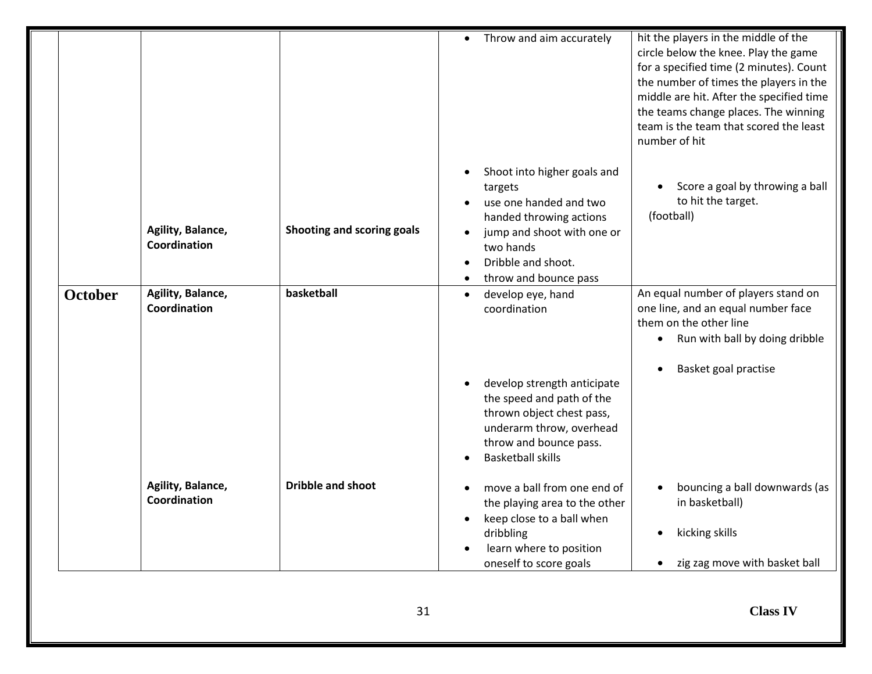|                |                                   |                            | Throw and aim accurately<br>$\bullet$                                                                                                                                                                                     | hit the players in the middle of the<br>circle below the knee. Play the game<br>for a specified time (2 minutes). Count<br>the number of times the players in the<br>middle are hit. After the specified time<br>the teams change places. The winning<br>team is the team that scored the least<br>number of hit |
|----------------|-----------------------------------|----------------------------|---------------------------------------------------------------------------------------------------------------------------------------------------------------------------------------------------------------------------|------------------------------------------------------------------------------------------------------------------------------------------------------------------------------------------------------------------------------------------------------------------------------------------------------------------|
|                | Agility, Balance,<br>Coordination | Shooting and scoring goals | Shoot into higher goals and<br>targets<br>use one handed and two<br>handed throwing actions<br>jump and shoot with one or<br>two hands<br>Dribble and shoot.<br>throw and bounce pass                                     | Score a goal by throwing a ball<br>to hit the target.<br>(football)                                                                                                                                                                                                                                              |
| <b>October</b> | Agility, Balance,<br>Coordination | basketball                 | develop eye, hand<br>$\bullet$<br>coordination<br>develop strength anticipate<br>the speed and path of the<br>thrown object chest pass,<br>underarm throw, overhead<br>throw and bounce pass.<br><b>Basketball skills</b> | An equal number of players stand on<br>one line, and an equal number face<br>them on the other line<br>Run with ball by doing dribble<br>$\bullet$<br>Basket goal practise                                                                                                                                       |
|                | Agility, Balance,<br>Coordination | <b>Dribble and shoot</b>   | move a ball from one end of<br>the playing area to the other<br>keep close to a ball when<br>dribbling<br>learn where to position<br>oneself to score goals                                                               | bouncing a ball downwards (as<br>in basketball)<br>kicking skills<br>zig zag move with basket ball                                                                                                                                                                                                               |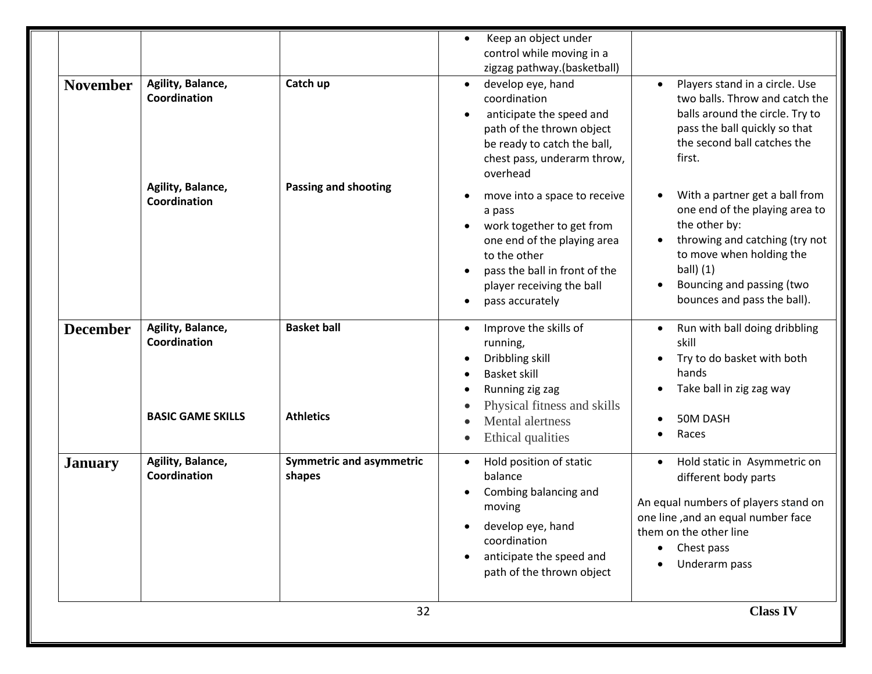| <b>November</b> | Agility, Balance,<br>Coordination<br>Agility, Balance,<br>Coordination | Catch up<br><b>Passing and shooting</b>   | control while moving in a<br>zigzag pathway.(basketball)<br>develop eye, hand<br>$\bullet$<br>coordination<br>anticipate the speed and<br>path of the thrown object<br>be ready to catch the ball,<br>chest pass, underarm throw,<br>overhead<br>move into a space to receive<br>a pass<br>work together to get from<br>one end of the playing area | Players stand in a circle. Use<br>$\bullet$<br>two balls. Throw and catch the<br>balls around the circle. Try to<br>pass the ball quickly so that<br>the second ball catches the<br>first.<br>With a partner get a ball from<br>one end of the playing area to<br>the other by:<br>throwing and catching (try not |
|-----------------|------------------------------------------------------------------------|-------------------------------------------|-----------------------------------------------------------------------------------------------------------------------------------------------------------------------------------------------------------------------------------------------------------------------------------------------------------------------------------------------------|-------------------------------------------------------------------------------------------------------------------------------------------------------------------------------------------------------------------------------------------------------------------------------------------------------------------|
|                 |                                                                        |                                           | to the other<br>pass the ball in front of the<br>player receiving the ball<br>pass accurately                                                                                                                                                                                                                                                       | to move when holding the<br>ball $(1)$<br>Bouncing and passing (two<br>bounces and pass the ball).                                                                                                                                                                                                                |
| <b>December</b> | Agility, Balance,<br>Coordination                                      | <b>Basket ball</b>                        | Improve the skills of<br>running,<br>Dribbling skill<br><b>Basket skill</b><br>Running zig zag                                                                                                                                                                                                                                                      | Run with ball doing dribbling<br>skill<br>Try to do basket with both<br>hands<br>Take ball in zig zag way                                                                                                                                                                                                         |
|                 | <b>BASIC GAME SKILLS</b>                                               | <b>Athletics</b>                          | Physical fitness and skills<br>Mental alertness<br>Ethical qualities                                                                                                                                                                                                                                                                                | 50M DASH<br>Races                                                                                                                                                                                                                                                                                                 |
| <b>January</b>  | Agility, Balance,<br>Coordination                                      | <b>Symmetric and asymmetric</b><br>shapes | Hold position of static<br>$\bullet$<br>balance<br>Combing balancing and<br>moving<br>develop eye, hand<br>coordination<br>anticipate the speed and<br>path of the thrown object                                                                                                                                                                    | Hold static in Asymmetric on<br>different body parts<br>An equal numbers of players stand on<br>one line, and an equal number face<br>them on the other line<br>Chest pass<br>Underarm pass                                                                                                                       |
|                 |                                                                        | 32                                        |                                                                                                                                                                                                                                                                                                                                                     | <b>Class IV</b>                                                                                                                                                                                                                                                                                                   |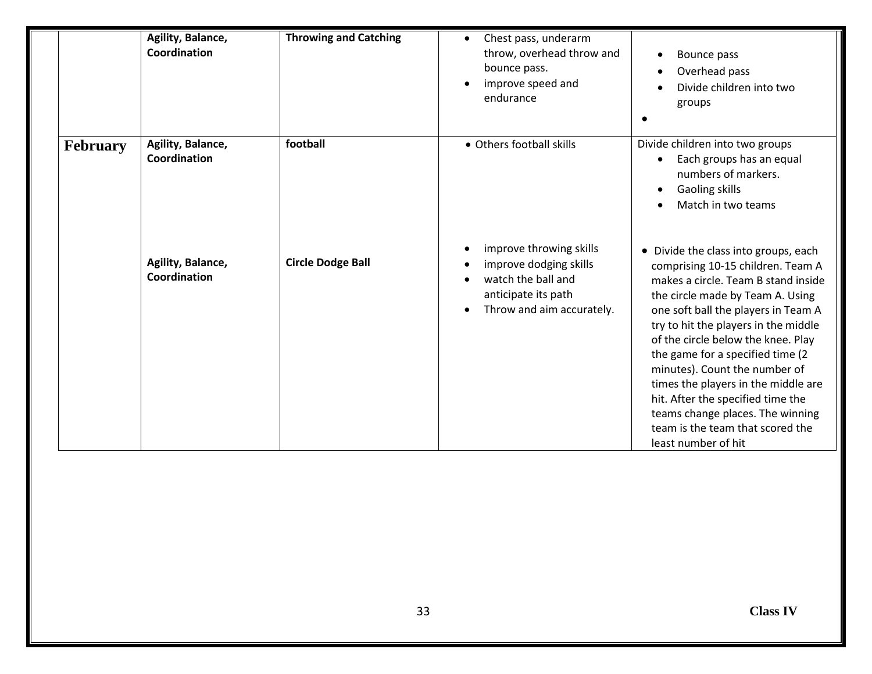|          | Agility, Balance,<br>Coordination | <b>Throwing and Catching</b> | Chest pass, underarm<br>$\bullet$<br>throw, overhead throw and<br>bounce pass.<br>improve speed and<br>endurance            | Bounce pass<br>Overhead pass<br>Divide children into two<br>groups                                                                                                                                                                                                                                                                                                                                                                                                                                                        |
|----------|-----------------------------------|------------------------------|-----------------------------------------------------------------------------------------------------------------------------|---------------------------------------------------------------------------------------------------------------------------------------------------------------------------------------------------------------------------------------------------------------------------------------------------------------------------------------------------------------------------------------------------------------------------------------------------------------------------------------------------------------------------|
| February | Agility, Balance,<br>Coordination | football                     | • Others football skills                                                                                                    | Divide children into two groups<br>Each groups has an equal<br>numbers of markers.<br>Gaoling skills<br>Match in two teams                                                                                                                                                                                                                                                                                                                                                                                                |
|          | Agility, Balance,<br>Coordination | <b>Circle Dodge Ball</b>     | improve throwing skills<br>improve dodging skills<br>watch the ball and<br>anticipate its path<br>Throw and aim accurately. | • Divide the class into groups, each<br>comprising 10-15 children. Team A<br>makes a circle. Team B stand inside<br>the circle made by Team A. Using<br>one soft ball the players in Team A<br>try to hit the players in the middle<br>of the circle below the knee. Play<br>the game for a specified time (2<br>minutes). Count the number of<br>times the players in the middle are<br>hit. After the specified time the<br>teams change places. The winning<br>team is the team that scored the<br>least number of hit |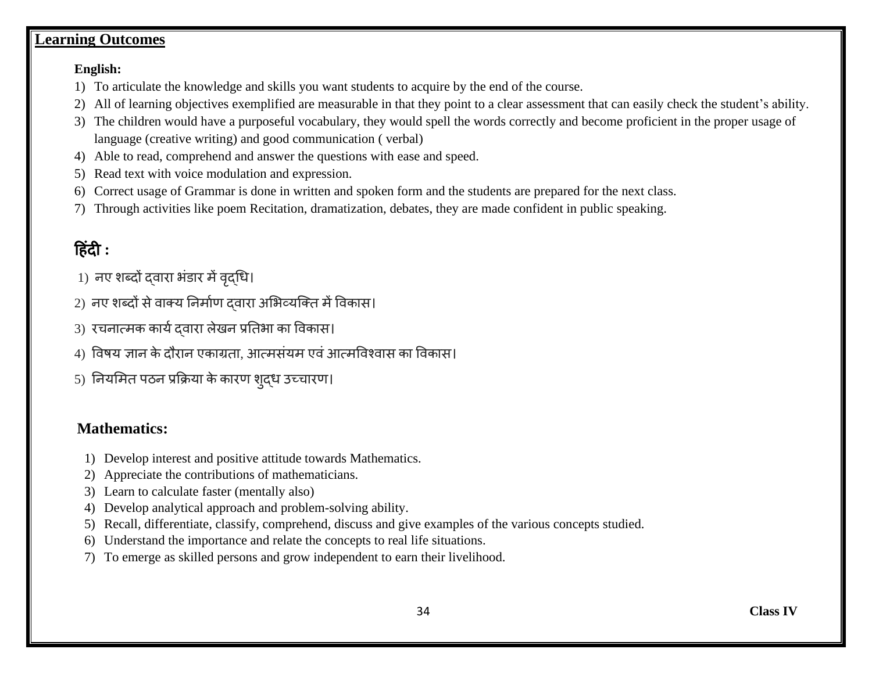#### **Learning Outcomes**

#### **English:**

- 1) To articulate the knowledge and skills you want students to acquire by the end of the course.
- 2) All of learning objectives exemplified are measurable in that they point to a clear assessment that can easily check the student's ability.
- 3) The children would have a purposeful vocabulary, they would spell the words correctly and become proficient in the proper usage of language (creative writing) and good communication ( verbal)
- 4) Able to read, comprehend and answer the questions with ease and speed.
- 5) Read text with voice modulation and expression.
- 6) Correct usage of Grammar is done in written and spoken form and the students are prepared for the next class.
- 7) Through activities like poem Recitation, dramatization, debates, they are made confident in public speaking.

# ह िंदी **:**

- 1) नए शब्दों दवारा भंडार में वृद्धि।
- 2) नए शब्दों से वाक्य निर्माण दवारा अभिव्यक्ति में विकास।
- 3) रचनात्मक कायिद्वारा लेखन प्रतििा का ववकास।
- 4) विषय ज्ञान के दौरान एकाग्रता, आत्मसंयम एवं आत्मविश्वास का विकास।
- 5) नियमित पठन प्रक्रिया के कारण शुद्ध उच्चारण।

#### **Mathematics:**

- 1) Develop interest and positive attitude towards Mathematics.
- 2) Appreciate the contributions of mathematicians.
- 3) Learn to calculate faster (mentally also)
- 4) Develop analytical approach and problem-solving ability.
- 5) Recall, differentiate, classify, comprehend, discuss and give examples of the various concepts studied.
- 6) Understand the importance and relate the concepts to real life situations.
- 7) To emerge as skilled persons and grow independent to earn their livelihood.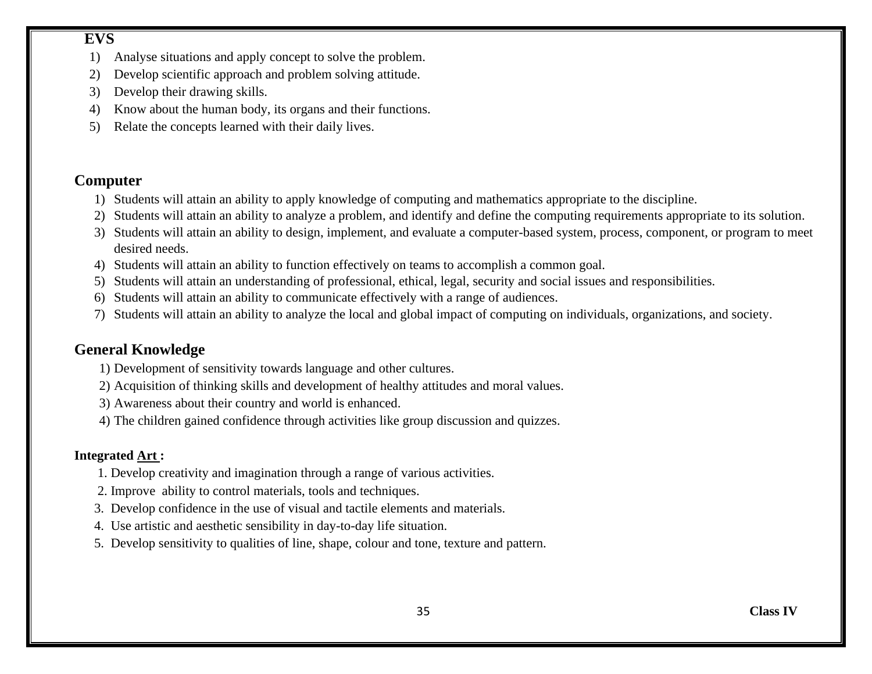#### **EVS**

- 1) Analyse situations and apply concept to solve the problem.
- 2) Develop scientific approach and problem solving attitude.
- 3) Develop their drawing skills.
- 4) Know about the human body, its organs and their functions.
- 5) Relate the concepts learned with their daily lives.

#### **Computer**

- 1) Students will attain an ability to apply knowledge of computing and mathematics appropriate to the discipline.
- 2) Students will attain an ability to analyze a problem, and identify and define the computing requirements appropriate to its solution.
- 3) Students will attain an ability to design, implement, and evaluate a computer-based system, process, component, or program to meet desired needs.
- 4) Students will attain an ability to function effectively on teams to accomplish a common goal.
- 5) Students will attain an understanding of professional, ethical, legal, security and social issues and responsibilities.
- 6) Students will attain an ability to communicate effectively with a range of audiences.
- 7) Students will attain an ability to analyze the local and global impact of computing on individuals, organizations, and society.

### **General Knowledge**

- 1) Development of sensitivity towards language and other cultures.
- 2) Acquisition of thinking skills and development of healthy attitudes and moral values.
- 3) Awareness about their country and world is enhanced.
- 4) The children gained confidence through activities like group discussion and quizzes.

#### **Integrated Art :**

- 1. Develop creativity and imagination through a range of various activities.
- 2. Improve ability to control materials, tools and techniques.
- 3. Develop confidence in the use of visual and tactile elements and materials.
- 4. Use artistic and aesthetic sensibility in day-to-day life situation.
- 5. Develop sensitivity to qualities of line, shape, colour and tone, texture and pattern.